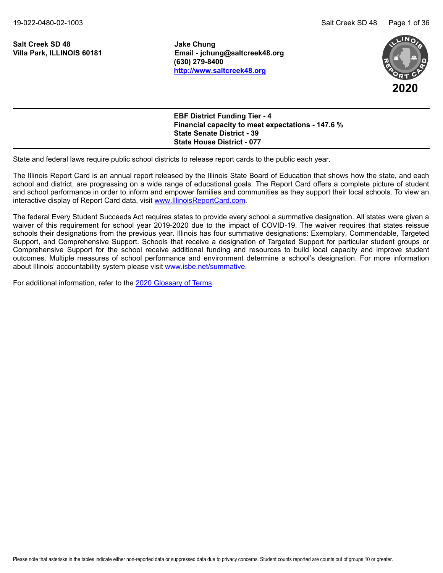**Salt Creek SD 48 Jake Chung**

**Villa Park, ILLINOIS 60181 Email - jchung@saltcreek48.org (630) 279-8400 <http://www.saltcreek48.org>**



| <b>EBF District Funding Tier - 4</b><br>Financial capacity to meet expectations - 147.6 % |
|-------------------------------------------------------------------------------------------|
| <b>State Senate District - 39</b>                                                         |
| <b>State House District - 077</b>                                                         |

State and federal laws require public school districts to release report cards to the public each year.

The Illinois Report Card is an annual report released by the Illinois State Board of Education that shows how the state, and each school and district, are progressing on a wide range of educational goals. The Report Card offers a complete picture of student and school performance in order to inform and empower families and communities as they support their local schools. To view an interactive display of Report Card data, visit [www.IllinoisReportCard.com](https://www.illinoisreportcard.com/).

The federal Every Student Succeeds Act requires states to provide every school a summative designation. All states were given a waiver of this requirement for school year 2019-2020 due to the impact of COVID-19. The waiver requires that states reissue schools their designations from the previous year. Illinois has four summative designations: Exemplary, Commendable, Targeted Support, and Comprehensive Support. Schools that receive a designation of Targeted Support for particular student groups or Comprehensive Support for the school receive additional funding and resources to build local capacity and improve student outcomes. Multiple measures of school performance and environment determine a school's designation. For more information about Illinois' accountability system please visi[t www.isbe.net/summative](https://www.isbe.net/summative).

For additional information, refer to th[e 2020 Glossary of Terms](https://www.isbe.net/Documents/2020-Glossary-of-Terms.pdf).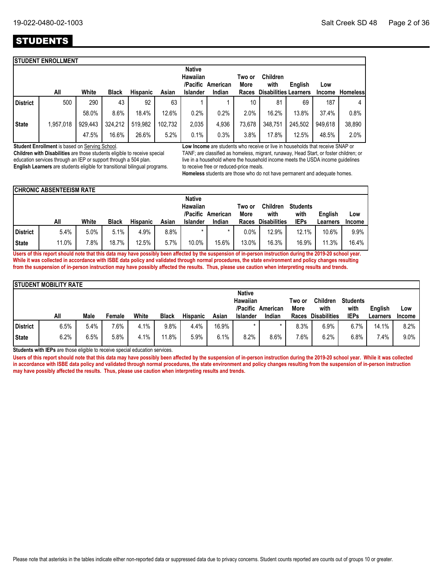# **STUDENTS**

|                 | <b>STUDENT ENROLLMENT</b> |         |              |                 |         |                           |                   |                |                              |         |         |                 |
|-----------------|---------------------------|---------|--------------|-----------------|---------|---------------------------|-------------------|----------------|------------------------------|---------|---------|-----------------|
|                 |                           |         |              |                 |         | <b>Native</b><br>Hawaiian | /Pacific American | Two or<br>More | <b>Children</b><br>with      | English | Low     |                 |
|                 | All                       | White   | <b>Black</b> | <b>Hispanic</b> | Asian   | <b>Islander</b>           | Indian            | Races          | <b>Disabilities Learners</b> |         | Income  | <b>Homeless</b> |
| <b>District</b> | 500                       | 290     | 43           | 92              | 63      |                           |                   | 10             | 81                           | 69      | 187     | 4               |
|                 |                           | 58.0%   | 8.6%         | 18.4%           | 12.6%   | 0.2%                      | 0.2%              | 2.0%           | 16.2%                        | 13.8%   | 37.4%   | 0.8%            |
| <b>State</b>    | 1,957,018                 | 929,443 | 324,212      | 519,982         | 102.732 | 2,035                     | 4,936             | 73,678         | 348,751                      | 245,502 | 949.618 | 38,890          |
|                 |                           | 47.5%   | 16.6%        | 26.6%           | 5.2%    | 0.1%                      | 0.3%              | 3.8%           | 17.8%                        | 12.5%   | 48.5%   | 2.0%            |

**Student Enrollment** is based on Serving School.

**Children with Disabilities** are those students eligible to receive special education services through an IEP or support through a 504 plan. **English Learners** are students eligible for transitional bilingual programs. **Low Income** are students who receive or live in households that receive SNAP or TANF; are classified as homeless, migrant, runaway, Head Start, or foster children; or live in a household where the household income meets the USDA income guidelines to receive free or reduced-price meals.

**Homeless** students are those who do not have permanent and adequate homes.

|          | <b>CHRONIC ABSENTEEISM RATE</b> |       |              |                 |       |                                       |          |                |                         |                         |                |               |
|----------|---------------------------------|-------|--------------|-----------------|-------|---------------------------------------|----------|----------------|-------------------------|-------------------------|----------------|---------------|
|          |                                 |       |              |                 |       | <b>Native</b><br>Hawaiian<br>/Pacific | American | Two or<br>More | <b>Children</b><br>with | <b>Students</b><br>with | <b>Enalish</b> | Low           |
|          | All                             | White | <b>Black</b> | <b>Hispanic</b> | Asian | <b>Islander</b>                       | Indian   | Races          | <b>Disabilities</b>     | <b>IEPs</b>             | Learners       | <b>Income</b> |
| District | 5.4%                            | 5.0%  | 5.1%         | 4.9%            | 8.8%  |                                       |          | 0.0%           | 12.9%                   | 12.1%                   | 10.6%          | 9.9%          |
| State    | 11.0%                           | 7.8%  | 18.7%        | 12.5%           | 5.7%  | 10.0%                                 | 15.6%    | 13.0%          | 16.3%                   | 16.9%                   | 11.3%          | 16.4%         |

**Users of this report should note that this data may have possibly been affected by the suspension of in-person instruction during the 2019-20 school year. While it was collected in accordance with ISBE data policy and validated through normal procedures, the state environment and policy changes resulting from the suspension of in-person instruction may have possibly affected the results. Thus, please use caution when interpreting results and trends.**

|              | <b>STUDENT MOBILITY RATE</b> |      |         |       |              |                 |       |                                  |                   |                |                         |                         |          |               |
|--------------|------------------------------|------|---------|-------|--------------|-----------------|-------|----------------------------------|-------------------|----------------|-------------------------|-------------------------|----------|---------------|
|              |                              |      |         |       |              |                 |       | <b>Native</b><br><b>Hawaiian</b> | /Pacific American | Two or<br>More | <b>Children</b><br>with | <b>Students</b><br>with | English  | Low           |
|              | All                          | Male | Female  | White | <b>Black</b> | <b>Hispanic</b> | Asian | <b>Islander</b>                  | Indian            | Races          | <b>Disabilities</b>     | <b>IEPs</b>             | Learners | <b>Income</b> |
| District     | 6.5%                         | 5.4% | 7.6%    | 4.1%  | 9.8%         | 4.4%            | 16.9% |                                  |                   | 8.3%           | $6.9\%$                 | 6.7%                    | 14.1%    | 8.2%          |
| <b>State</b> | 6.2%                         | 6.5% | $5.8\%$ | 4.1%  | 11.8%        | 5.9%            | 6.1%  | 8.2%                             | 8.6%              | 7.6%           | 6.2%                    | $6.8\%$                 | 7.4%     | 9.0%          |

**Students with IEPs** are those eligible to receive special education services.

Users of this report should note that this data may have possibly been affected by the suspension of in-person instruction during the 2019-20 school year. While it was collected **in accordance with ISBE data policy and validated through normal procedures, the state environment and policy changes resulting from the suspension of in-person instruction may have possibly affected the results. Thus, please use caution when interpreting results and trends.**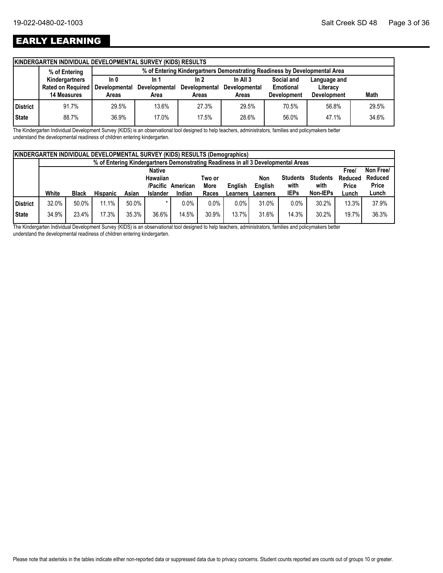# EARLY LEARNING

| % of Entering  |                    |                                   |                       |                                                                      |            |                                 |                                                                                                  |
|----------------|--------------------|-----------------------------------|-----------------------|----------------------------------------------------------------------|------------|---------------------------------|--------------------------------------------------------------------------------------------------|
| Kindergartners | In $0$             | In 1                              | ln 2                  | In All $3$                                                           | Social and | Language and                    |                                                                                                  |
|                |                    | <b>Developmental</b>              | Developmental         | <b>Developmental</b>                                                 |            | Literacy                        |                                                                                                  |
|                |                    |                                   |                       |                                                                      |            |                                 | <b>Math</b>                                                                                      |
| 91.7%          | 29.5%              | 13.6%                             | 27.3%                 | 29.5%                                                                | 70.5%      | 56.8%                           | 29.5%                                                                                            |
| 88.7%          | 36.9%              | 17.0%                             | 17.5%                 | 28.6%                                                                | 56.0%      | 47.1%                           | 34.6%                                                                                            |
|                | <b>14 Measures</b> | <b>Rated on Required</b><br>Areas | Developmental<br>Area | KINDERGARTEN INDIVIDUAL DEVELOPMENTAL SURVEY (KIDS) RESULTS<br>Areas | Areas      | Emotional<br><b>Development</b> | % of Entering Kindergartners Demonstrating Readiness by Developmental Area<br><b>Development</b> |

The Kindergarten Individual Development Survey (KIDS) is an observational tool designed to help teachers, administrators, families and policymakers better understand the developmental readiness of children entering kindergarten.

|              | <b>KINDERGARTEN INDIVIDUAL DEVELOPMENTAL SURVEY (KIDS) RESULTS (Demographics)</b> |              |                 |       |                 |          |             |                |                                                                                   |                 |                 |              |              |
|--------------|-----------------------------------------------------------------------------------|--------------|-----------------|-------|-----------------|----------|-------------|----------------|-----------------------------------------------------------------------------------|-----------------|-----------------|--------------|--------------|
|              |                                                                                   |              |                 |       |                 |          |             |                | % of Entering Kindergartners Demonstrating Readiness in all 3 Developmental Areas |                 |                 |              |              |
|              |                                                                                   |              |                 |       | <b>Native</b>   |          |             |                |                                                                                   |                 |                 | <b>Free/</b> | Non Free/    |
|              |                                                                                   |              |                 |       | Hawaiian        |          | Two or      |                | Non                                                                               | <b>Students</b> | <b>Students</b> | Reduced      | Reduced      |
|              |                                                                                   |              |                 |       | /Pacific        | American | <b>More</b> | <b>Enalish</b> | English                                                                           | with            | with            | Price        | <b>Price</b> |
|              | White                                                                             | <b>Black</b> | <b>Hispanic</b> | Asian | <b>Islander</b> | Indian   | Races       | Learners       | Learners                                                                          | <b>IEPs</b>     | Non-IEPs        | Lunch        | Lunch        |
| District     | 32.0%                                                                             | 50.0%        | 11.1%           | 50.0% |                 | 0.0%     | $0.0\%$     | 0.0%           | 31.0%                                                                             | 0.0%            | 30.2%           | 13.3%        | 37.9%        |
| <b>State</b> | 34.9%                                                                             | 23.4%        | 17.3%           | 35.3% | 36.6%           | 14.5%    | 30.9%       | 13.7%          | 31.6%                                                                             | 14.3%           | 30.2%           | 19.7%        | 36.3%        |

The Kindergarten Individual Development Survey (KIDS) is an observational tool designed to help teachers, administrators, families and policymakers better understand the developmental readiness of children entering kindergarten.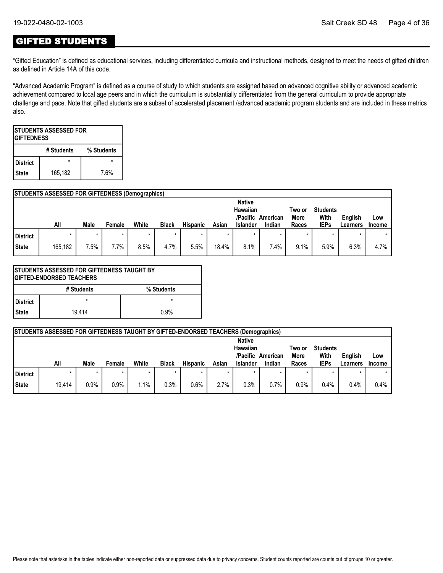### GIFTED STUDENTS

"Gifted Education" is defined as educational services, including differentiated curricula and instructional methods, designed to meet the needs of gifted children as defined in Article 14A of this code.

"Advanced Academic Program" is defined as a course of study to which students are assigned based on advanced cognitive ability or advanced academic achievement compared to local age peers and in which the curriculum is substantially differentiated from the general curriculum to provide appropriate challenge and pace. Note that gifted students are a subset of accelerated placement /advanced academic program students and are included in these metrics also.

|                 | <b>ISTUDENTS ASSESSED FOR</b><br><b>IGIFTEDNESS</b> |            |  |  |  |  |  |  |  |  |  |
|-----------------|-----------------------------------------------------|------------|--|--|--|--|--|--|--|--|--|
|                 | # Students                                          | % Students |  |  |  |  |  |  |  |  |  |
| <b>District</b> |                                                     |            |  |  |  |  |  |  |  |  |  |
| <b>State</b>    | 165,182                                             | 7.6%       |  |  |  |  |  |  |  |  |  |

#### **STUDENTS ASSESSED FOR GIFTEDNESS (Demographics)**

|                 | All     | Male | Female | White | <b>Black</b> | <b>Hispanic</b> | Asian | <b>Native</b><br>Hawaiian<br>/Pacific<br><b>Islander</b> | American<br>Indian | Two or<br>More<br>Races | <b>Students</b><br>With<br><b>IEPs</b> | English<br>Learners | Low<br>Income |
|-----------------|---------|------|--------|-------|--------------|-----------------|-------|----------------------------------------------------------|--------------------|-------------------------|----------------------------------------|---------------------|---------------|
| <b>District</b> |         |      |        |       | $\star$      |                 |       |                                                          | $\star$            | *                       | $\star$                                | *                   | $\star$       |
| <b>State</b>    | 165,182 | 7.5% | 7.7%   | 8.5%  | 4.7%         | 5.5%            | 18.4% | 8.1%                                                     | 7.4%               | 9.1%                    | 5.9%                                   | 6.3%                | 4.7%          |

|                 | ISTUDENTS ASSESSED FOR GIFTEDNESS TAUGHT BY<br><b>GIFTED-ENDORSED TEACHERS</b> |            |  |  |  |  |  |  |  |  |  |
|-----------------|--------------------------------------------------------------------------------|------------|--|--|--|--|--|--|--|--|--|
|                 | # Students                                                                     | % Students |  |  |  |  |  |  |  |  |  |
| <b>District</b> | $\star$                                                                        | $\star$    |  |  |  |  |  |  |  |  |  |
| <b>State</b>    | 19.414                                                                         | 0.9%       |  |  |  |  |  |  |  |  |  |

|          | STUDENTS ASSESSED FOR GIFTEDNESS TAUGHT BY GIFTED-ENDORSED TEACHERS (Demographics) |      |        |       |              |                 |         |                      |          |                |                         |                |               |
|----------|------------------------------------------------------------------------------------|------|--------|-------|--------------|-----------------|---------|----------------------|----------|----------------|-------------------------|----------------|---------------|
|          |                                                                                    |      |        |       |              |                 |         | <b>Native</b>        |          |                |                         |                |               |
|          |                                                                                    |      |        |       |              |                 |         | Hawaiian<br>/Pacific | American | Two or<br>More | <b>Students</b><br>With | <b>English</b> | Low           |
|          | All                                                                                | Male | Female | White | <b>Black</b> | <b>Hispanic</b> | Asian   | <b>Islander</b>      | Indian   | Races          | <b>IEPs</b>             | Learners       | <b>Income</b> |
| District |                                                                                    |      |        |       |              |                 | $\star$ |                      |          |                |                         |                |               |
|          |                                                                                    |      |        |       |              |                 |         |                      |          |                |                         |                |               |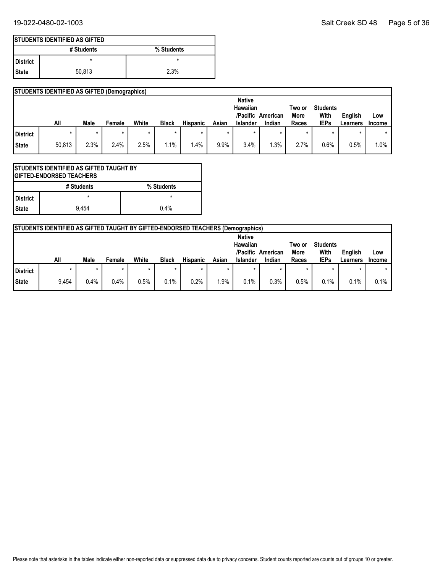|                 | <b>ISTUDENTS IDENTIFIED AS GIFTED</b> |            |
|-----------------|---------------------------------------|------------|
|                 | # Students                            | % Students |
| <b>District</b> | ×                                     |            |
| I State         | 50.813                                | 2.3%       |

|          | <b>STUDENTS IDENTIFIED AS GIFTED (Demographics)</b> |      |        |       |              |                 |       |                      |          |                |                         |          |               |
|----------|-----------------------------------------------------|------|--------|-------|--------------|-----------------|-------|----------------------|----------|----------------|-------------------------|----------|---------------|
|          |                                                     |      |        |       |              |                 |       | <b>Native</b>        |          |                |                         |          |               |
|          |                                                     |      |        |       |              |                 |       | Hawaiian<br>/Pacific | American | Two or<br>More | <b>Students</b><br>With | English  | Low           |
|          | All                                                 | Male |        |       |              |                 |       |                      |          |                |                         |          |               |
|          |                                                     |      | Female | White | <b>Black</b> | <b>Hispanic</b> | Asian | Islander             | Indian   | Races          | <b>IEPs</b>             | Learners | <b>Income</b> |
| District |                                                     |      |        |       |              |                 |       |                      |          | $\star$        |                         |          |               |

| <b>STUDENTS IDENTIFIED AS GIFTED TAUGHT BY</b><br><b>IGIFTED-ENDORSED TEACHERS</b> |            |            |  |  |
|------------------------------------------------------------------------------------|------------|------------|--|--|
|                                                                                    | # Students | % Students |  |  |
| l District                                                                         | $\star$    |            |  |  |
| l State                                                                            | 9.454      | 0.4%       |  |  |

|          | <b>STUDENTS IDENTIFIED AS GIFTED TAUGHT BY GIFTED-ENDORSED TEACHERS (Demographics)</b> |         |        |       |              |                 |        |                                                          |                    |                         |                                        |                     |                      |
|----------|----------------------------------------------------------------------------------------|---------|--------|-------|--------------|-----------------|--------|----------------------------------------------------------|--------------------|-------------------------|----------------------------------------|---------------------|----------------------|
|          | All                                                                                    | Male    | Female | White | <b>Black</b> | <b>Hispanic</b> | Asian  | <b>Native</b><br>Hawaiian<br>/Pacific<br><b>Islander</b> | American<br>Indian | Two or<br>More<br>Races | <b>Students</b><br>With<br><b>IEPs</b> | English<br>Learners | Low<br><b>Income</b> |
| District |                                                                                        | $\star$ |        |       | $\star$      |                 |        |                                                          |                    | $\star$                 |                                        |                     |                      |
| State    | 9.454                                                                                  | 0.4%    | 0.4%   | 0.5%  | 0.1%         | 0.2%            | $.9\%$ | 0.1%                                                     | 0.3%               | 0.5%                    | 0.1%                                   | 0.1%                | 0.1%                 |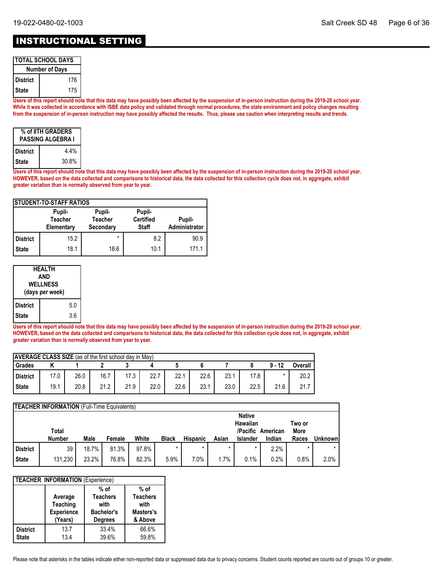## INSTRUCTIONAL SETTING

| <b>TOTAL SCHOOL DAYS</b> |     |  |  |  |
|--------------------------|-----|--|--|--|
| <b>Number of Days</b>    |     |  |  |  |
| l District               | 176 |  |  |  |
| l State                  | 175 |  |  |  |

**Users of this report should note that this data may have possibly been affected by the suspension of in-person instruction during the 2019-20 school year. While it was collected in accordance with ISBE data policy and validated through normal procedures, the state environment and policy changes resulting from the suspension of in-person instruction may have possibly affected the results. Thus, please use caution when interpreting results and trends.**

| % of 8TH GRADERS<br><b>PASSING ALGEBRA I</b> |       |  |  |  |
|----------------------------------------------|-------|--|--|--|
| <b>District</b>                              | 4.4%  |  |  |  |
| <b>State</b>                                 | 30.8% |  |  |  |

**Users of this report should note that this data may have possibly been affected by the suspension of in-person instruction during the 2019-20 school year. HOWEVER, based on the data collected and comparisons to historical data, the data collected for this collection cycle does not, in aggregate, exhibit greater variation than is normally observed from year to year.**

| <b>STUDENT-TO-STAFF RATIOS</b> |                                        |                                       |                                            |                         |  |  |  |  |
|--------------------------------|----------------------------------------|---------------------------------------|--------------------------------------------|-------------------------|--|--|--|--|
|                                | Pupil-<br><b>Teacher</b><br>Elementary | Pupil-<br><b>Teacher</b><br>Secondary | Pupil-<br><b>Certified</b><br><b>Staff</b> | Pupil-<br>Administrator |  |  |  |  |
| <b>District</b>                | 15.2                                   | $\star$                               | 8.2                                        | 90.9                    |  |  |  |  |
| <b>State</b>                   | 18.1                                   | 18.6                                  | 10.1                                       | 171.1                   |  |  |  |  |

| <b>HFAI TH</b><br>AND<br><b>WELLNESS</b><br>(days per week) |  |     |  |
|-------------------------------------------------------------|--|-----|--|
| <b>District</b>                                             |  | 5.0 |  |
| <b>State</b>                                                |  | 3.6 |  |

**Users of this report should note that this data may have possibly been affected by the suspension of in-person instruction during the 2019-20 school year. HOWEVER, based on the data collected and comparisons to historical data, the data collected for this collection cycle does not, in aggregate, exhibit greater variation than is normally observed from year to year.**

| <b>AVERAGE CLASS SIZE</b> (as of the first school day in May) |      |      |      |      |      |      |      |      |      |          |         |
|---------------------------------------------------------------|------|------|------|------|------|------|------|------|------|----------|---------|
| Grades                                                        |      |      |      |      |      |      |      |      |      | $9 - 12$ | Overall |
| District                                                      | 17.0 | 26.0 | 16.7 | 17.3 | 22.7 | 22.1 | 22.6 | 23.7 | 17.8 |          | 20.2    |
| <b>State</b>                                                  | 19.1 | 20.8 | 21.2 | 21.9 | 22.0 | 22.6 | 23.1 | 23.0 | 22.5 | 21.6     | 21.7    |

|                                     | <b>TEACHER INFORMATION</b> (Full-Time Equivalents) |       |        |       |              |                 |         |          |                   |       |                |
|-------------------------------------|----------------------------------------------------|-------|--------|-------|--------------|-----------------|---------|----------|-------------------|-------|----------------|
| <b>Native</b><br>Hawaiian<br>Two or |                                                    |       |        |       |              |                 |         |          |                   |       |                |
|                                     | Total                                              |       |        |       |              |                 |         |          | /Pacific American | More  |                |
|                                     | <b>Number</b>                                      | Male  | Female | White | <b>Black</b> | <b>Hispanic</b> | Asian   | Islander | Indian            | Races | <b>Unknown</b> |
| <b>District</b>                     | 39                                                 | 18.7% | 81.3%  | 97.8% | $\star$      | $\star$         | $\star$ | $\star$  | 2.2%              |       |                |
| <b>State</b>                        | 131,230                                            | 23.2% | 76.8%  | 82.3% | 5.9%         | 7.0%            | $1.7\%$ | 0.1%     | 0.2%              | 0.8%  | 2.0%           |

| <b>TEACHER INFORMATION (Experience)</b> |                                                            |                                                                          |                                                           |  |  |  |
|-----------------------------------------|------------------------------------------------------------|--------------------------------------------------------------------------|-----------------------------------------------------------|--|--|--|
|                                         | Average<br><b>Teaching</b><br><b>Experience</b><br>(Years) | $%$ of<br><b>Teachers</b><br>with<br><b>Bachelor's</b><br><b>Degrees</b> | $%$ of<br><b>Teachers</b><br>with<br>Masters's<br>& Above |  |  |  |
| <b>District</b><br><b>State</b>         | 13.7<br>13.4                                               | 33.4%<br>39.6%                                                           | 66.6%<br>59.8%                                            |  |  |  |

Please note that asterisks in the tables indicate either non-reported data or suppressed data due to privacy concerns. Student counts reported are counts out of groups 10 or greater.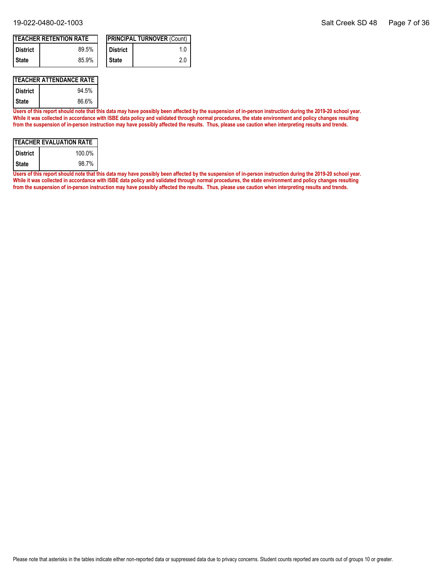| <b>TEACHER RETENTION RATE</b> |       |  |                   | <b>IPRINCIPAL TURNOVER (Count)</b> |
|-------------------------------|-------|--|-------------------|------------------------------------|
| <b>District</b>               | 89.5% |  | <b>I</b> District | 1 O                                |
| I State                       | 85.9% |  | I State           | 20                                 |

#### **TEACHER ATTENDANCE RATE**

| <b>District</b> | 94.5% |
|-----------------|-------|
| State           | 86.6% |

**Users of this report should note that this data may have possibly been affected by the suspension of in-person instruction during the 2019-20 school year. While it was collected in accordance with ISBE data policy and validated through normal procedures, the state environment and policy changes resulting from the suspension of in-person instruction may have possibly affected the results. Thus, please use caution when interpreting results and trends.**

| ITEACHER EVALUATION RATE |        |  |  |  |
|--------------------------|--------|--|--|--|
| <b>District</b>          | 100.0% |  |  |  |
| <b>State</b>             | 98.7%  |  |  |  |

**Users of this report should note that this data may have possibly been affected by the suspension of in-person instruction during the 2019-20 school year. While it was collected in accordance with ISBE data policy and validated through normal procedures, the state environment and policy changes resulting from the suspension of in-person instruction may have possibly affected the results. Thus, please use caution when interpreting results and trends.**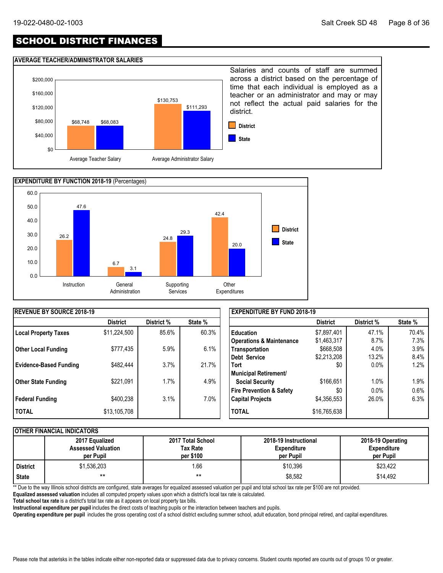# SCHOOL DISTRICT FINANCES

#### **AVERAGE TEACHER/ADMINISTRATOR SALARIES**





| <b>IREVENUE BY SOURCE 2018-19</b> |                 |            |         | <b>EXPENDITURE BY FUND 2018-19</b>  |                 |            |         |
|-----------------------------------|-----------------|------------|---------|-------------------------------------|-----------------|------------|---------|
|                                   | <b>District</b> | District % | State % |                                     | <b>District</b> | District % | State % |
| <b>Local Property Taxes</b>       | \$11,224,500    | 85.6%      | 60.3%   | <b>Education</b>                    | \$7,897,401     | 47.1%      | 70.4%   |
|                                   |                 |            |         | <b>Operations &amp; Maintenance</b> | \$1,463,317     | 8.7%       | 7.3%    |
| <b>Other Local Funding</b>        | \$777,435       | 5.9%       | 6.1%    | Transportation                      | \$668,508       | 4.0%       | 3.9%    |
|                                   |                 |            |         | Debt Service                        | \$2,213,208     | 13.2%      | 8.4%    |
| <b>Evidence-Based Funding</b>     | \$482,444       | 3.7%       | 21.7%   | <b>Tort</b>                         | \$0             | $0.0\%$    | 1.2%    |
|                                   |                 |            |         | Municipal Retirement/               |                 |            |         |
| Other State Funding               | \$221,091       | 1.7%       | 4.9%    | <b>Social Security</b>              | \$166,651       | 1.0%       | 1.9%    |
|                                   |                 |            |         | <b>Fire Prevention &amp; Safety</b> | \$0             | 0.0%       | 0.6%    |
| Federal Funding                   | \$400,238       | 3.1%       | 7.0%    | <b>Capital Projects</b>             | \$4,356,553     | 26.0%      | 6.3%    |
| I TOTAL                           | \$13,105,708    |            |         | <b>TOTAL</b>                        | \$16,765,638    |            |         |

#### **OTHER FINANCIAL INDICATORS**

|                 | 2017 Equalized<br><b>Assessed Valuation</b><br>per Pupil | 2017 Total School<br>Tax Rate<br>per \$100 | 2018-19 Instructional<br><b>Expenditure</b><br>per Pupil | 2018-19 Operating<br><b>Expenditure</b><br>per Pupil |
|-----------------|----------------------------------------------------------|--------------------------------------------|----------------------------------------------------------|------------------------------------------------------|
| <b>District</b> | \$1,536,203                                              | .66                                        | \$10.396                                                 | \$23,422                                             |
| <b>State</b>    | $***$                                                    | $***$                                      | \$8,582                                                  | \$14.492                                             |

\*\* Due to the way Illinois school districts are configured, state averages for equalized assessed valuation per pupil and total school tax rate per \$100 are not provided.

**Equalized assessed valuation** includes all computed property values upon which a district's local tax rate is calculated.

**Total school tax rate** is a district's total tax rate as it appears on local property tax bills.

**Instructional expenditure per pupil** includes the direct costs of teaching pupils or the interaction between teachers and pupils.

**Operating expenditure per pupil** includes the gross operating cost of a school district excluding summer school, adult education, bond principal retired, and capital expenditures.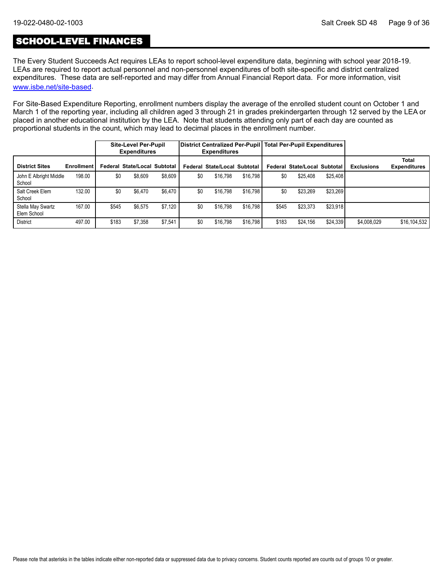### SCHOOL-LEVEL FINANCES

The Every Student Succeeds Act requires LEAs to report school-level expenditure data, beginning with school year 2018-19. LEAs are required to report actual personnel and non-personnel expenditures of both site-specific and district centralized expenditures. These data are self-reported and may differ from Annual Financial Report data. For more information, visit [www.isbe.net/site-based](https://www.isbe.net/site-based).

For Site-Based Expenditure Reporting, enrollment numbers display the average of the enrolled student count on October 1 and March 1 of the reporting year, including all children aged 3 through 21 in grades prekindergarten through 12 served by the LEA or placed in another educational institution by the LEA. Note that students attending only part of each day are counted as proportional students in the count, which may lead to decimal places in the enrollment number.

|                                  |                   |       | <b>Site-Level Per-Pupil</b><br><b>Expenditures</b> |         |     | <b>Expenditures</b>                 |          |       | District Centralized Per-Pupil Total Per-Pupil Expenditures |          |                   |                                     |
|----------------------------------|-------------------|-------|----------------------------------------------------|---------|-----|-------------------------------------|----------|-------|-------------------------------------------------------------|----------|-------------------|-------------------------------------|
| <b>District Sites</b>            | <b>Enrollment</b> |       | Federal State/Local Subtotal                       |         |     | <b>Federal State/Local Subtotal</b> |          |       | Federal State/Local Subtotal                                |          | <b>Exclusions</b> | <b>Total</b><br><b>Expenditures</b> |
| John E Albright Middle<br>School | 198.00            | \$0   | \$8,609                                            | \$8.609 | \$0 | \$16,798                            | \$16,798 | \$0   | \$25.408                                                    | \$25,408 |                   |                                     |
| Salt Creek Elem<br>School        | 132.00            | \$0   | \$6,470                                            | \$6.470 | \$0 | \$16,798                            | \$16,798 | \$0   | \$23,269                                                    | \$23,269 |                   |                                     |
| Stella May Swartz<br>Elem School | 167.00            | \$545 | \$6,575                                            | \$7.120 | \$0 | \$16.798                            | \$16,798 | \$545 | \$23,373                                                    | \$23,918 |                   |                                     |
| <b>District</b>                  | 497.00            | \$183 | \$7,358                                            | \$7,541 | \$0 | \$16.798                            | \$16,798 | \$183 | \$24,156                                                    | \$24,339 | \$4,008,029       | \$16,104,532                        |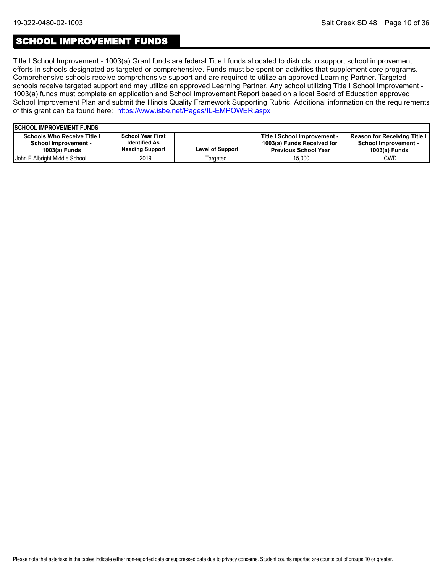### SCHOOL IMPROVEMENT FUNDS

Title I School Improvement - 1003(a) Grant funds are federal Title I funds allocated to districts to support school improvement efforts in schools designated as targeted or comprehensive. Funds must be spent on activities that supplement core programs. Comprehensive schools receive comprehensive support and are required to utilize an approved Learning Partner. Targeted schools receive targeted support and may utilize an approved Learning Partner. Any school utilizing Title I School Improvement - 1003(a) funds must complete an application and School Improvement Report based on a local Board of Education approved School Improvement Plan and submit the Illinois Quality Framework Supporting Rubric. Additional information on the requirements of this grant can be found here:<https://www.isbe.net/Pages/IL-EMPOWER.aspx>

| <b>ISCHOOL IMPROVEMENT FUNDS</b>                                                     |                                                                            |                         |                                                                                           |                                                                                       |
|--------------------------------------------------------------------------------------|----------------------------------------------------------------------------|-------------------------|-------------------------------------------------------------------------------------------|---------------------------------------------------------------------------------------|
| <b>Schools Who Receive Title I</b><br><b>School Improvement -</b><br>$1003(a)$ Funds | <b>School Year First</b><br><b>Identified As</b><br><b>Needing Support</b> | <b>Level of Support</b> | Title I School Improvement -<br>1003(a) Funds Received for<br><b>Previous School Year</b> | <b>Reason for Receiving Title I</b><br><b>School Improvement -</b><br>$1003(a)$ Funds |
| <b>John E Albright Middle School</b>                                                 | 2019                                                                       | Targeted                | 15.000                                                                                    | CWD                                                                                   |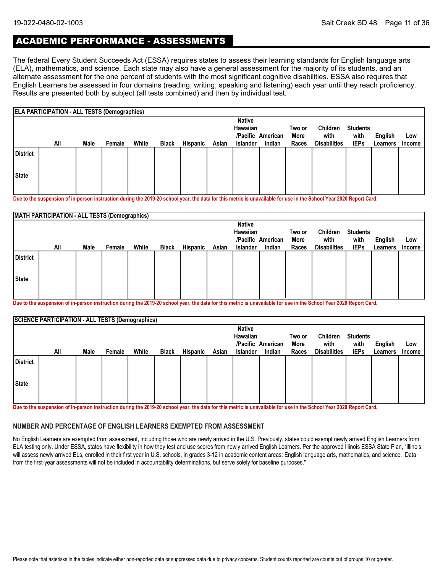## ACADEMIC PERFORMANCE - ASSESSMENTS

The federal Every Student Succeeds Act (ESSA) requires states to assess their learning standards for English language arts (ELA), mathematics, and science. Each state may also have a general assessment for the majority of its students, and an alternate assessment for the one percent of students with the most significant cognitive disabilities. ESSA also requires that English Learners be assessed in four domains (reading, writing, speaking and listening) each year until they reach proficiency. Results are presented both by subject (all tests combined) and then by individual test.

|                 | <b>ELA PARTICIPATION - ALL TESTS (Demographics)</b> |      |        |       |              |                 |       |                           |                   |        |                     |                 |          |        |
|-----------------|-----------------------------------------------------|------|--------|-------|--------------|-----------------|-------|---------------------------|-------------------|--------|---------------------|-----------------|----------|--------|
|                 |                                                     |      |        |       |              |                 |       | <b>Native</b><br>Hawaiian |                   | Two or | Children            | <b>Students</b> |          |        |
|                 |                                                     |      |        |       |              |                 |       |                           | /Pacific American | More   | with                | with            | English  | Low    |
|                 | All                                                 | Male | Female | White | <b>Black</b> | <b>Hispanic</b> | Asian | <b>Islander</b>           | Indian            | Races  | <b>Disabilities</b> | <b>IEPs</b>     | Learners | Income |
| <b>District</b> |                                                     |      |        |       |              |                 |       |                           |                   |        |                     |                 |          |        |
| <b>State</b>    |                                                     |      |        |       |              |                 |       |                           |                   |        |                     |                 |          |        |
|                 |                                                     |      |        |       |              |                 |       |                           |                   |        |                     |                 |          |        |

**Due to the suspension of in-person instruction during the 2019-20 school year, the data for this metric is unavailable for use in the School Year 2020 Report Card.**

|                 | <b>MATH PARTICIPATION - ALL TESTS (Demographics)</b> |      |                           |                   |                |                  |                         |                 |        |       |                     |             |          |               |
|-----------------|------------------------------------------------------|------|---------------------------|-------------------|----------------|------------------|-------------------------|-----------------|--------|-------|---------------------|-------------|----------|---------------|
|                 |                                                      |      | <b>Native</b><br>Hawaiian | /Pacific American | Two or<br>More | Children<br>with | <b>Students</b><br>with | English         | Low    |       |                     |             |          |               |
|                 | All                                                  | Male | Female                    | White             | <b>Black</b>   | Hispanic         | Asian                   | <b>Islander</b> | Indian | Races | <b>Disabilities</b> | <b>IEPs</b> | Learners | <b>Income</b> |
| <b>District</b> |                                                      |      |                           |                   |                |                  |                         |                 |        |       |                     |             |          |               |
| State           |                                                      |      |                           |                   |                |                  |                         |                 |        |       |                     |             |          |               |
|                 |                                                      |      |                           |                   |                |                  |                         |                 |        |       |                     |             |          |               |

**Due to the suspension of in-person instruction during the 2019-20 school year, the data for this metric is unavailable for use in the School Year 2020 Report Card.**

|                 | <b>SCIENCE PARTICIPATION - ALL TESTS (Demographics)</b> |      |        |       |              |                 |       |                 |                   |        |                     |                 |          |               |
|-----------------|---------------------------------------------------------|------|--------|-------|--------------|-----------------|-------|-----------------|-------------------|--------|---------------------|-----------------|----------|---------------|
|                 |                                                         |      |        |       |              |                 |       | <b>Native</b>   |                   |        |                     |                 |          |               |
|                 |                                                         |      |        |       |              |                 |       | Hawaiian        |                   | Two or | Children            | <b>Students</b> |          |               |
|                 |                                                         |      |        |       |              |                 |       |                 | /Pacific American | More   | with                | with            | English  | Low           |
|                 | All                                                     | Male | Female | White | <b>Black</b> | <b>Hispanic</b> | Asian | <b>Islander</b> | Indian            | Races  | <b>Disabilities</b> | <b>IEPs</b>     | Learners | <b>Income</b> |
| <b>District</b> |                                                         |      |        |       |              |                 |       |                 |                   |        |                     |                 |          |               |
| <b>State</b>    |                                                         |      |        |       |              |                 |       |                 |                   |        |                     |                 |          |               |
|                 |                                                         |      |        |       |              |                 |       |                 |                   |        |                     |                 |          |               |

**Due to the suspension of in-person instruction during the 2019-20 school year, the data for this metric is unavailable for use in the School Year 2020 Report Card.**

#### **NUMBER AND PERCENTAGE OF ENGLISH LEARNERS EXEMPTED FROM ASSESSMENT**

No English Learners are exempted from assessment, including those who are newly arrived in the U.S. Previously, states could exempt newly arrived English Learners from ELA testing only. Under ESSA, states have flexibility in how they test and use scores from newly arrived English Learners. Per the approved Illinois ESSA State Plan, "Illinois will assess newly arrived ELs, enrolled in their first year in U.S. schools, in grades 3-12 in academic content areas: English language arts, mathematics, and science. Data from the first-year assessments will not be included in accountability determinations, but serve solely for baseline purposes."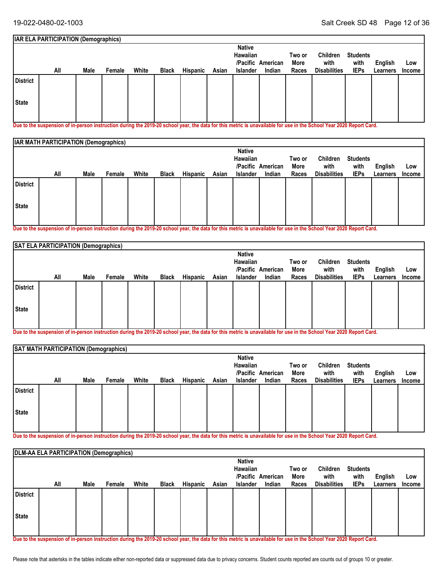#### **Students with IEPs Two or More All Races English** White Black Hispanic Asian Islander Indian Races Disabilities IEPs Learners Income **Low IAR ELA PARTICIPATION (Demographics) American /Pacific Indian Native Hawaiian Male Female White Black Hispanic Asian Islander Children with Disabilities State District**

**Due to the suspension of in-person instruction during the 2019-20 school year, the data for this metric is unavailable for use in the School Year 2020 Report Card.**

|                 | <b>IAR MATH PARTICIPATION (Demographics)</b> |      |        |       |              |          |       |                 |                   |        |                     |                 |          |        |
|-----------------|----------------------------------------------|------|--------|-------|--------------|----------|-------|-----------------|-------------------|--------|---------------------|-----------------|----------|--------|
|                 |                                              |      |        |       |              |          |       |                 | Hawaiian          | Two or | Children            | <b>Students</b> |          |        |
|                 |                                              |      |        |       |              |          |       |                 | /Pacific American | More   | with                | with            | English  | Low    |
|                 | All                                          | Male | Female | White | <b>Black</b> | Hispanic | Asian | <b>Islander</b> | Indian            | Races  | <b>Disabilities</b> | <b>IEPs</b>     | Learners | Income |
| <b>District</b> |                                              |      |        |       |              |          |       |                 |                   |        |                     |                 |          |        |
| State           |                                              |      |        |       |              |          |       |                 |                   |        |                     |                 |          |        |
|                 |                                              |      |        |       |              |          |       |                 |                   |        |                     |                 |          |        |

**Due to the suspension of in-person instruction during the 2019-20 school year, the data for this metric is unavailable for use in the School Year 2020 Report Card.**

|                 | SAT ELA PARTICIPATION (Demographics) |      |        |       |              |          |       |                           |                             |               |                             |                     |                     |                      |
|-----------------|--------------------------------------|------|--------|-------|--------------|----------|-------|---------------------------|-----------------------------|---------------|-----------------------------|---------------------|---------------------|----------------------|
|                 |                                      |      |        |       |              |          |       | <b>Native</b><br>Hawaiian |                             | Two or        | Children                    | <b>Students</b>     |                     |                      |
|                 | All                                  | Male | Female | White | <b>Black</b> | Hispanic | Asian | Islander                  | /Pacific American<br>Indian | More<br>Races | with<br><b>Disabilities</b> | with<br><b>IEPs</b> | English<br>Learners | Low<br><b>Income</b> |
| <b>District</b> |                                      |      |        |       |              |          |       |                           |                             |               |                             |                     |                     |                      |
| State           |                                      |      |        |       |              |          |       |                           |                             |               |                             |                     |                     |                      |
|                 |                                      |      |        |       |              |          |       |                           |                             |               |                             |                     |                     |                      |

**Due to the suspension of in-person instruction during the 2019-20 school year, the data for this metric is unavailable for use in the School Year 2020 Report Card.**

|                 | SAT MATH PARTICIPATION (Demographics) |      |        |       |              |          |       |                                              |                             |                         |                                         |                                        |                     |                      |
|-----------------|---------------------------------------|------|--------|-------|--------------|----------|-------|----------------------------------------------|-----------------------------|-------------------------|-----------------------------------------|----------------------------------------|---------------------|----------------------|
|                 | All                                   | Male | Female | White | <b>Black</b> | Hispanic | Asian | <b>Native</b><br>Hawaiian<br><b>Islander</b> | /Pacific American<br>Indian | Two or<br>More<br>Races | Children<br>with<br><b>Disabilities</b> | <b>Students</b><br>with<br><b>IEPs</b> | English<br>Learners | Low<br><b>Income</b> |
| <b>District</b> |                                       |      |        |       |              |          |       |                                              |                             |                         |                                         |                                        |                     |                      |
| State           |                                       |      |        |       |              |          |       |                                              |                             |                         |                                         |                                        |                     |                      |

**Due to the suspension of in-person instruction during the 2019-20 school year, the data for this metric is unavailable for use in the School Year 2020 Report Card.**

|                 | <b>DLM-AA ELA PARTICIPATION (Demographics)</b> |      |        |       |              |          |       |                           |                   |               |                     |                         |                     |                      |
|-----------------|------------------------------------------------|------|--------|-------|--------------|----------|-------|---------------------------|-------------------|---------------|---------------------|-------------------------|---------------------|----------------------|
|                 |                                                |      |        |       |              |          |       | <b>Native</b><br>Hawaiian | /Pacific American | Two or        | Children<br>with    | <b>Students</b><br>with |                     |                      |
|                 | All                                            | Male | Female | White | <b>Black</b> | Hispanic | Asian | Islander                  | Indian            | More<br>Races | <b>Disabilities</b> | <b>IEPs</b>             | English<br>Learners | Low<br><b>Income</b> |
| <b>District</b> |                                                |      |        |       |              |          |       |                           |                   |               |                     |                         |                     |                      |
| State           |                                                |      |        |       |              |          |       |                           |                   |               |                     |                         |                     |                      |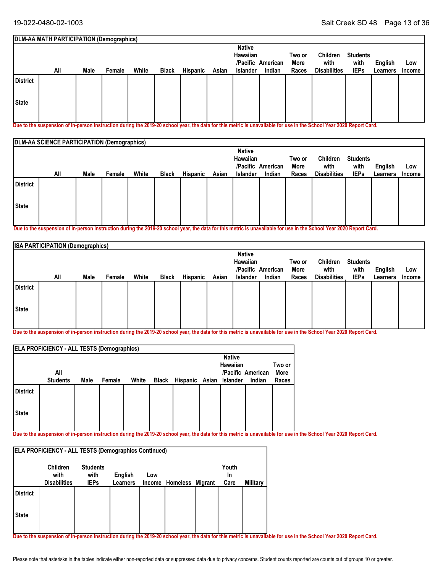|          | DLM-AA MATH PARTICIPATION (Demographics) |      |        |       |              |          |       |               |                   |        |                     |                 |          |        |
|----------|------------------------------------------|------|--------|-------|--------------|----------|-------|---------------|-------------------|--------|---------------------|-----------------|----------|--------|
|          |                                          |      |        |       |              |          |       | <b>Native</b> |                   |        |                     |                 |          |        |
|          |                                          |      |        |       |              |          |       | Hawaiian      |                   | Two or | Children            | <b>Students</b> |          |        |
|          |                                          |      |        |       |              |          |       |               | /Pacific American | More   | with                | with            | English  | Low    |
|          | All                                      | Male | Female | White | <b>Black</b> | Hispanic | Asian | Islander      | Indian            | Races  | <b>Disabilities</b> | <b>IEPs</b>     | Learners | Income |
| District |                                          |      |        |       |              |          |       |               |                   |        |                     |                 |          |        |
| State    |                                          |      |        |       |              |          |       |               |                   |        |                     |                 |          |        |
|          |                                          |      |        |       |              |          |       |               |                   |        |                     |                 |          |        |

**Due to the suspension of in-person instruction during the 2019-20 school year, the data for this metric is unavailable for use in the School Year 2020 Report Card.**

|                 | <b>DLM-AA SCIENCE PARTICIPATION (Demographics)</b> |      |        |       |              |                 |       |                           |                   |        |                     |                 |          |               |
|-----------------|----------------------------------------------------|------|--------|-------|--------------|-----------------|-------|---------------------------|-------------------|--------|---------------------|-----------------|----------|---------------|
|                 |                                                    |      |        |       |              |                 |       | <b>Native</b><br>Hawaiian |                   | Two or | Children            | <b>Students</b> |          |               |
|                 |                                                    |      |        |       |              |                 |       |                           | /Pacific American | More   | with                | with            | English  | Low           |
|                 | All                                                | Male | Female | White | <b>Black</b> | <b>Hispanic</b> | Asian | <b>Islander</b>           | Indian            | Races  | <b>Disabilities</b> | <b>IEPs</b>     | Learners | <b>Income</b> |
| <b>District</b> |                                                    |      |        |       |              |                 |       |                           |                   |        |                     |                 |          |               |
| State           |                                                    |      |        |       |              |                 |       |                           |                   |        |                     |                 |          |               |
|                 |                                                    |      |        |       |              |                 |       |                           |                   |        |                     |                 |          |               |

**Due to the suspension of in-person instruction during the 2019-20 school year, the data for this metric is unavailable for use in the School Year 2020 Report Card.**

|                 | <b>ISA PARTICIPATION (Demographics)</b> |      |        |       |              |          |       |                                       |          |                |                     |                         |          |        |
|-----------------|-----------------------------------------|------|--------|-------|--------------|----------|-------|---------------------------------------|----------|----------------|---------------------|-------------------------|----------|--------|
|                 |                                         |      |        |       |              |          |       | <b>Native</b><br>Hawaiian<br>/Pacific | American | Two or<br>More | Children<br>with    | <b>Students</b><br>with | English  | Low    |
|                 | All                                     | Male | Female | White | <b>Black</b> | Hispanic | Asian | <b>Islander</b>                       | Indian   | Races          | <b>Disabilities</b> | <b>IEPs</b>             | Learners | Income |
| <b>District</b> |                                         |      |        |       |              |          |       |                                       |          |                |                     |                         |          |        |
| State           |                                         |      |        |       |              |          |       |                                       |          |                |                     |                         |          |        |
|                 |                                         |      |        |       |              |          |       |                                       |          |                |                     |                         |          |        |

**Due to the suspension of in-person instruction during the 2019-20 school year, the data for this metric is unavailable for use in the School Year 2020 Report Card.**

|                 | <b>ELA PROFICIENCY - ALL TESTS (Demographics)</b> |      |        |       |       |                         |                           |                   |        |
|-----------------|---------------------------------------------------|------|--------|-------|-------|-------------------------|---------------------------|-------------------|--------|
|                 |                                                   |      |        |       |       |                         | <b>Native</b><br>Hawaiian |                   | Two or |
|                 | All                                               |      |        |       |       |                         |                           | /Pacific American | More   |
|                 | <b>Students</b>                                   | Male | Female | White | Black | Hispanic Asian Islander |                           | Indian            | Races  |
| <b>District</b> |                                                   |      |        |       |       |                         |                           |                   |        |
| <b>State</b>    |                                                   |      |        |       |       |                         |                           |                   |        |
|                 |                                                   |      |        |       |       |                         |                           |                   |        |

**Due to the suspension of in-person instruction during the 2019-20 school year, the data for this metric is unavailable for use in the School Year 2020 Report Card.**

| <b>ELA PROFICIENCY - ALL TESTS (Demographics Continued)</b> |                                                |                                        |                            |     |                         |  |                     |          |  |  |  |  |
|-------------------------------------------------------------|------------------------------------------------|----------------------------------------|----------------------------|-----|-------------------------|--|---------------------|----------|--|--|--|--|
|                                                             | <b>Children</b><br>with<br><b>Disabilities</b> | <b>Students</b><br>with<br><b>IEPs</b> | English<br><b>Learners</b> | Low | Income Homeless Migrant |  | Youth<br>In<br>Care | Military |  |  |  |  |
| <b>District</b>                                             |                                                |                                        |                            |     |                         |  |                     |          |  |  |  |  |
| <b>State</b>                                                |                                                |                                        |                            |     |                         |  |                     |          |  |  |  |  |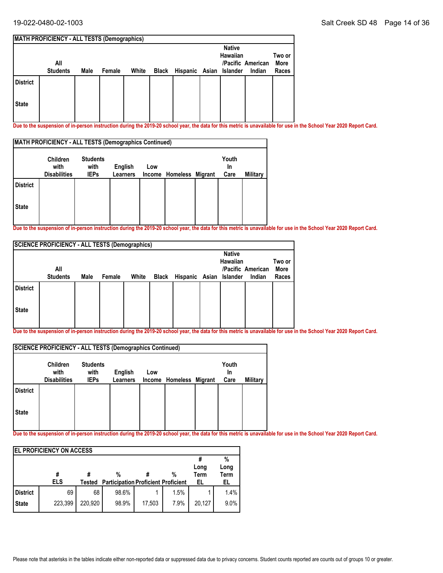|                 | <b>MATH PROFICIENCY - ALL TESTS (Demographics)</b> |      |        |       |                               |                           |                             |                         |
|-----------------|----------------------------------------------------|------|--------|-------|-------------------------------|---------------------------|-----------------------------|-------------------------|
|                 | All<br><b>Students</b>                             | Male | Female | White | Black Hispanic Asian Islander | <b>Native</b><br>Hawaiian | /Pacific American<br>Indian | Two or<br>More<br>Races |
| <b>District</b> |                                                    |      |        |       |                               |                           |                             |                         |
| <b>State</b>    |                                                    |      |        |       |                               |                           |                             |                         |

**Due to the suspension of in-person instruction during the 2019-20 school year, the data for this metric is unavailable for use in the School Year 2020 Report Card.**

| <b>MATH PROFICIENCY - ALL TESTS (Demographics Continued)</b> |                                                |                                        |                     |     |                         |  |                     |          |  |  |
|--------------------------------------------------------------|------------------------------------------------|----------------------------------------|---------------------|-----|-------------------------|--|---------------------|----------|--|--|
|                                                              | <b>Children</b><br>with<br><b>Disabilities</b> | <b>Students</b><br>with<br><b>IEPs</b> | English<br>Learners | Low | Income Homeless Migrant |  | Youth<br>In<br>Care | Military |  |  |
| <b>District</b>                                              |                                                |                                        |                     |     |                         |  |                     |          |  |  |
| <b>State</b>                                                 |                                                |                                        |                     |     |                         |  |                     |          |  |  |

**Due to the suspension of in-person instruction during the 2019-20 school year, the data for this metric is unavailable for use in the School Year 2020 Report Card.**

|                 | <b>SCIENCE PROFICIENCY - ALL TESTS (Demographics)</b> |      |        |       |       |                         |                           |                   |                |
|-----------------|-------------------------------------------------------|------|--------|-------|-------|-------------------------|---------------------------|-------------------|----------------|
|                 | All                                                   |      |        |       |       |                         | <b>Native</b><br>Hawaiian | /Pacific American | Two or<br>More |
|                 | <b>Students</b>                                       | Male | Female | White | Black | Hispanic Asian Islander |                           | Indian            | Races          |
| <b>District</b> |                                                       |      |        |       |       |                         |                           |                   |                |
| <b>State</b>    |                                                       |      |        |       |       |                         |                           |                   |                |

**Due to the suspension of in-person instruction during the 2019-20 school year, the data for this metric is unavailable for use in the School Year 2020 Report Card.**

|                 | SCIENCE PROFICIENCY - ALL TESTS (Demographics Continued) |                                        |                            |               |                  |                     |          |
|-----------------|----------------------------------------------------------|----------------------------------------|----------------------------|---------------|------------------|---------------------|----------|
|                 | Children<br>with<br><b>Disabilities</b>                  | <b>Students</b><br>with<br><b>IEPs</b> | English<br><b>Learners</b> | Low<br>Income | Homeless Migrant | Youth<br>In<br>Care | Military |
| <b>District</b> |                                                          |                                        |                            |               |                  |                     |          |
| <b>State</b>    |                                                          |                                        |                            |               |                  |                     |          |

|                 | <b>IEL PROFICIENCY ON ACCESS</b> |         |                                            |        |      |              |                     |
|-----------------|----------------------------------|---------|--------------------------------------------|--------|------|--------------|---------------------|
|                 |                                  |         |                                            |        |      |              | %                   |
|                 | #                                |         | %                                          |        | %    | Long<br>Term | Long<br><b>Term</b> |
|                 |                                  |         |                                            |        |      |              |                     |
|                 | <b>ELS</b>                       | Tested  | <b>Participation Proficient Proficient</b> |        |      | EL           | EL                  |
| <b>District</b> | 69                               | 68      | 98.6%                                      |        | 1.5% |              | 1.4%                |
| <b>State</b>    | 223,399                          | 220,920 | 98.9%                                      | 17,503 | 7.9% | 20,127       | 9.0%                |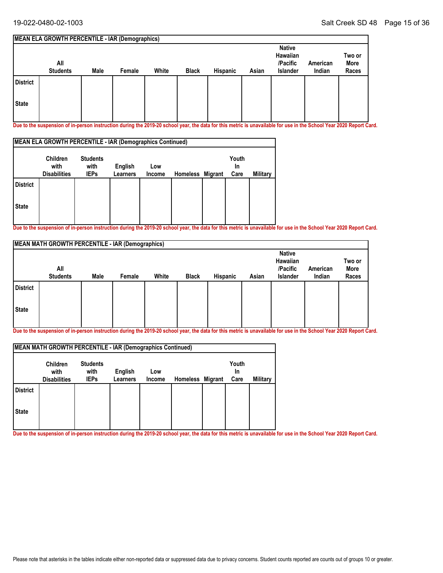#### **MEAN ELA GROWTH PERCENTILE - IAR (Demographics) All Students Native Hawaiian /Pacific Islander American Male Female White Black Hispanic Asian Indian Two or More Races State District**

**Due to the suspension of in-person instruction during the 2019-20 school year, the data for this metric is unavailable for use in the School Year 2020 Report Card.**

| MEAN ELA GROWTH PERCENTILE - IAR (Demographics Continued) |                                                |                                        |                     |               |                  |  |                     |          |  |  |
|-----------------------------------------------------------|------------------------------------------------|----------------------------------------|---------------------|---------------|------------------|--|---------------------|----------|--|--|
|                                                           | <b>Children</b><br>with<br><b>Disabilities</b> | <b>Students</b><br>with<br><b>IEPs</b> | English<br>Learners | Low<br>Income | Homeless Migrant |  | Youth<br>In<br>Care | Military |  |  |
| <b>District</b>                                           |                                                |                                        |                     |               |                  |  |                     |          |  |  |
| <b>State</b>                                              |                                                |                                        |                     |               |                  |  |                     |          |  |  |

**Due to the suspension of in-person instruction during the 2019-20 school year, the data for this metric is unavailable for use in the School Year 2020 Report Card.**

|                 | <b>MEAN MATH GROWTH PERCENTILE - IAR (Demographics)</b> |      |        |       |              |          |       |                                                   |                    |                         |
|-----------------|---------------------------------------------------------|------|--------|-------|--------------|----------|-------|---------------------------------------------------|--------------------|-------------------------|
|                 | All<br><b>Students</b>                                  | Male | Female | White | <b>Black</b> | Hispanic | Asian | <b>Native</b><br>Hawaiian<br>/Pacific<br>Islander | American<br>Indian | Two or<br>More<br>Races |
| <b>District</b> |                                                         |      |        |       |              |          |       |                                                   |                    |                         |
| <b>State</b>    |                                                         |      |        |       |              |          |       |                                                   |                    |                         |

**Due to the suspension of in-person instruction during the 2019-20 school year, the data for this metric is unavailable for use in the School Year 2020 Report Card.**

|                 | MEAN MATH GROWTH PERCENTILE - IAR (Demographics Continued) |                                        |                     |               |                  |                     |          |
|-----------------|------------------------------------------------------------|----------------------------------------|---------------------|---------------|------------------|---------------------|----------|
|                 | <b>Children</b><br>with<br><b>Disabilities</b>             | <b>Students</b><br>with<br><b>IEPs</b> | English<br>Learners | Low<br>Income | Homeless Migrant | Youth<br>In<br>Care | Military |
| <b>District</b> |                                                            |                                        |                     |               |                  |                     |          |
| <b>State</b>    |                                                            |                                        |                     |               |                  |                     |          |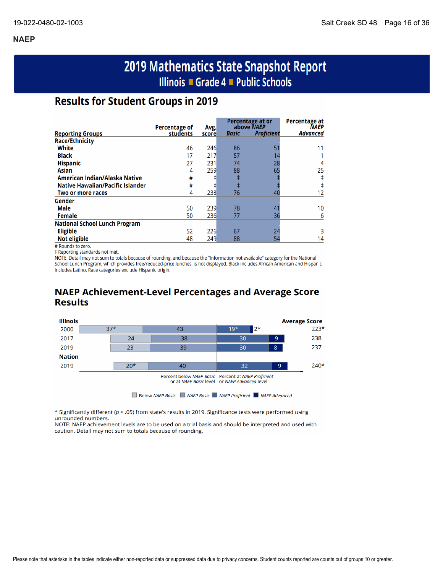# 2019 Mathematics State Snapshot Report Illinois ■ Grade 4 ■ Public Schools

# **Results for Student Groups in 2019**

|                                         | Percentage of | Avg.  |       | Percentage at or<br>above NAEP | Percentage at<br><b>NAEP</b> |
|-----------------------------------------|---------------|-------|-------|--------------------------------|------------------------------|
| <b>Reporting Groups</b>                 | students      | score | Basic | <b>Proficient</b>              | <b>Advanced</b>              |
| <b>Race/Ethnicity</b>                   |               |       |       |                                |                              |
| White                                   | 46            | 246   | 86    | 51                             |                              |
| <b>Black</b>                            | 17            | 217   | 57    |                                |                              |
| <b>Hispanic</b>                         | 27            | 231   | 74    | 28                             | 4                            |
| <b>Asian</b>                            | 4             | 259   | 88    | 65                             | 25                           |
| American Indian/Alaska Native           | #             |       | ŧ     |                                |                              |
| <b>Native Hawaiian/Pacific Islander</b> | #             | ‡I    | ŧ     |                                |                              |
| Two or more races                       | 4             | 238   | 76    | 40                             | 12                           |
| Gender                                  |               |       |       |                                |                              |
| <b>Male</b>                             | 50            | 239   | 78    | 41                             | 10                           |
| Female                                  | 50            | 236   | 77    | 36                             | 6                            |
| <b>National School Lunch Program</b>    |               |       |       |                                |                              |
| <b>Eligible</b>                         | 52            | 226   | 67    | 24                             |                              |
| <b>Not eligible</b>                     | 48            | 249   | 88    | 54                             | 14                           |

# Rounds to zero.

‡ Reporting standards not met.

NOTE: Detail may not sum to totals because of rounding, and because the "Information not available" category for the National School Lunch Program, which provides free/reduced-price lunches, is not displayed. Black includes African American and Hispanic includes Latino. Race categories exclude Hispanic origin.

# **NAEP Achievement-Level Percentages and Average Score Results**



\* Significantly different (p < .05) from state's results in 2019. Significance tests were performed using unrounded numbers.

NOTE: NAEP achievement levels are to be used on a trial basis and should be interpreted and used with caution. Detail may not sum to totals because of rounding.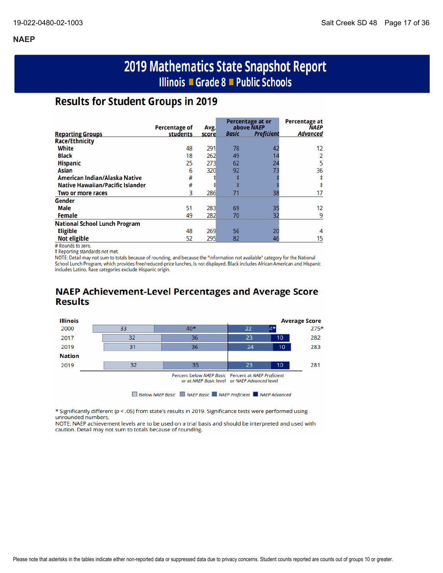# 2019 Mathematics State Snapshot Report Illinois ■ Grade 8 ■ Public Schools

# **Results for Student Groups in 2019**

|                                         | Percentage of | Avg.  |              | Percentage at or<br>above NAEP | <b>Percentage at</b><br><b>NAEP</b> |
|-----------------------------------------|---------------|-------|--------------|--------------------------------|-------------------------------------|
| <b>Reporting Groups</b>                 | students      | score | <b>Basic</b> | <b>Proficient</b>              | <b>Advanced</b>                     |
| <b>Race/Ethnicity</b>                   |               |       |              |                                |                                     |
| White                                   | 48            | 291   | 78           | 42                             | 12                                  |
| <b>Black</b>                            | 18            | 262   | 49           |                                |                                     |
| <b>Hispanic</b>                         | 25            | 273   | 62           | 24                             | 5                                   |
| Asian                                   | 6             | 320   | 92           | 73                             | 36                                  |
| American Indian/Alaska Native           | #             |       |              |                                |                                     |
| <b>Native Hawaiian/Pacific Islander</b> | #             | ⋣     | ŧ            |                                |                                     |
| Two or more races                       | 3             | 286   | 71           | 38                             |                                     |
| Gender                                  |               |       |              |                                |                                     |
| <b>Male</b>                             | 51            | 283   | 69           | 35                             | 12                                  |
| Female                                  | 49            | 282   | 70           | 32                             | q                                   |
| <b>National School Lunch Program</b>    |               |       |              |                                |                                     |
| <b>Eligible</b>                         | 48            | 269   | 56           | 20                             | 4                                   |
| <b>Not eligible</b>                     | 52            | 295   | 82           | 46                             | 15                                  |

# Rounds to zero.

‡ Reporting standards not met.

NOTE: Detail may not sum to totals because of rounding, and because the "Information not available" category for the National School Lunch Program, which provides free/reduced-price lunches, is not displayed. Black includes African American and Hispanic includes Latino. Race categories exclude Hispanic origin.

# **NAEP Achievement-Level Percentages and Average Score Results**



\* Significantly different ( $p <$  .05) from state's results in 2019. Significance tests were performed using unrounded numbers.

NOTE: NAEP achievement levels are to be used on a trial basis and should be interpreted and used with caution. Detail may not sum to totals because of rounding.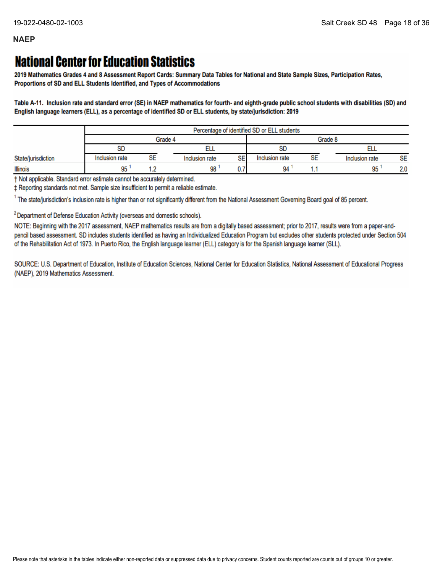# **National Center for Education Statistics**

2019 Mathematics Grades 4 and 8 Assessment Report Cards: Summary Data Tables for National and State Sample Sizes, Participation Rates, Proportions of SD and ELL Students Identified, and Types of Accommodations

Table A-11. Inclusion rate and standard error (SE) in NAEP mathematics for fourth- and eighth-grade public school students with disabilities (SD) and English language learners (ELL), as a percentage of identified SD or ELL students, by state/jurisdiction: 2019

|                    |                | Percentage of identified SD or ELL students |                      |                |    |                |           |
|--------------------|----------------|---------------------------------------------|----------------------|----------------|----|----------------|-----------|
|                    | Grade 4        |                                             |                      | Grade 8        |    |                |           |
|                    | <b>SD</b>      |                                             |                      | <b>SD</b>      |    |                |           |
| State/jurisdiction | Inclusion rate | SE                                          | SE<br>Inclusion rate | Inclusion rate | SE | Inclusion rate | <b>SE</b> |
| <b>Illinois</b>    | 95             |                                             | 98                   | 94             |    | 95             | 2.0       |

† Not applicable. Standard error estimate cannot be accurately determined.

± Reporting standards not met. Sample size insufficient to permit a reliable estimate.

<sup>1</sup> The state/jurisdiction's inclusion rate is higher than or not significantly different from the National Assessment Governing Board goal of 85 percent.

<sup>2</sup> Department of Defense Education Activity (overseas and domestic schools).

NOTE: Beginning with the 2017 assessment, NAEP mathematics results are from a digitally based assessment; prior to 2017, results were from a paper-andpencil based assessment. SD includes students identified as having an Individualized Education Program but excludes other students protected under Section 504 of the Rehabilitation Act of 1973. In Puerto Rico, the English language learner (ELL) category is for the Spanish language learner (SLL).

SOURCE: U.S. Department of Education, Institute of Education Sciences, National Center for Education Statistics, National Assessment of Educational Progress (NAEP), 2019 Mathematics Assessment.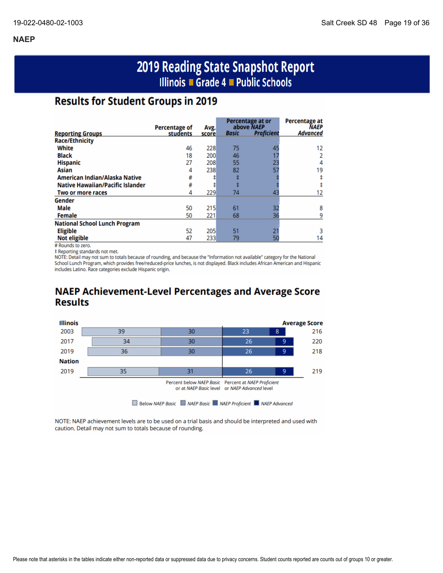# 2019 Reading State Snapshot Report Illinois ■ Grade 4 ■ Public Schools

# **Results for Student Groups in 2019**

|                                         |                                  |               |              | Percentage at or<br>above NAEP | <b>Percentage at</b><br><b>NAEP</b> |
|-----------------------------------------|----------------------------------|---------------|--------------|--------------------------------|-------------------------------------|
| <b>Reporting Groups</b>                 | <b>Percentage of</b><br>students | Avg.<br>score | <b>Basic</b> | <b>Proficient</b>              | Advanced                            |
| <b>Race/Ethnicity</b>                   |                                  |               |              |                                |                                     |
| White                                   | 46                               | 228           | 75           | 45                             | 12                                  |
| <b>Black</b>                            | 18                               | 200           | 46           |                                |                                     |
| <b>Hispanic</b>                         | 27                               | 208           | 55           | 23                             | 4                                   |
| Asian                                   | 4                                | 238           | 82           | 57                             | 19                                  |
| American Indian/Alaska Native           | #                                |               |              |                                |                                     |
| <b>Native Hawaiian/Pacific Islander</b> | #                                |               |              |                                |                                     |
| Two or more races                       | 4                                | 229           | 74           | 43                             |                                     |
| Gender                                  |                                  |               |              |                                |                                     |
| Male                                    | 50                               | 215           | 61           | 32                             | 8                                   |
| <b>Female</b>                           | 50                               | 221           | 68           | 36                             |                                     |
| <b>National School Lunch Program</b>    |                                  |               |              |                                |                                     |
| <b>Eligible</b>                         | 52                               | 205           | 51           |                                |                                     |
| <b>Not eligible</b>                     | 47                               | 233           | 79           |                                | 14                                  |

# Rounds to zero.

‡ Reporting standards not met.

NOTE: Detail may not sum to totals because of rounding, and because the "Information not available" category for the National School Lunch Program, which provides free/reduced-price lunches, is not displayed. Black includes African American and Hispanic includes Latino. Race categories exclude Hispanic origin.

# **NAEP Achievement-Level Percentages and Average Score Results**



NOTE: NAEP achievement levels are to be used on a trial basis and should be interpreted and used with caution. Detail may not sum to totals because of rounding.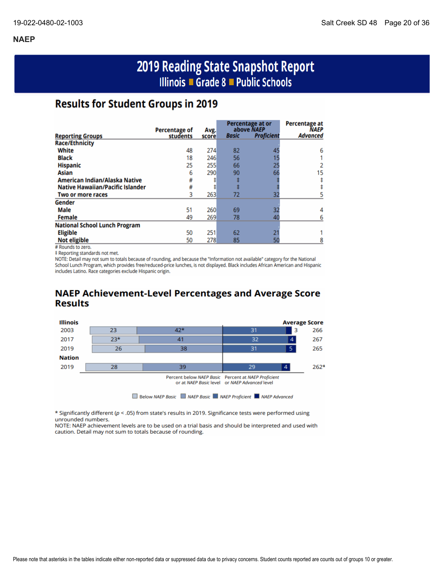# 2019 Reading State Snapshot Report Illinois ■ Grade 8 ■ Public Schools

# **Results for Student Groups in 2019**

|                                         |                                  |               |              | Percentage at or                | Percentage at           |
|-----------------------------------------|----------------------------------|---------------|--------------|---------------------------------|-------------------------|
| <b>Reporting Groups</b>                 | <b>Percentage of</b><br>students | Avg.<br>score | <b>Basic</b> | above NAEP<br><b>Proficient</b> | NAEP<br><b>Advanced</b> |
| <b>Race/Ethnicity</b>                   |                                  |               |              |                                 |                         |
| White                                   | 48                               | 274           | 82           | 45                              | 6                       |
| <b>Black</b>                            | 18                               | 246           | 56           |                                 |                         |
| <b>Hispanic</b>                         | 25                               | 255           | 66           | 25                              |                         |
| Asian                                   | 6                                | 290           | 90           | 66                              | 15                      |
| American Indian/Alaska Native           | #                                |               |              |                                 |                         |
| <b>Native Hawaiian/Pacific Islander</b> | #                                |               |              |                                 |                         |
| Two or more races                       | 3                                | 263           | 72           | 32                              |                         |
| Gender                                  |                                  |               |              |                                 |                         |
| <b>Male</b>                             | 51                               | 260           | 69           | 32                              |                         |
| <b>Female</b>                           | 49                               | 269           | 78           | 40                              |                         |
| <b>National School Lunch Program</b>    |                                  |               |              |                                 |                         |
| <b>Eligible</b>                         | 50                               | 251           | 62           |                                 |                         |
| <b>Not eligible</b>                     | 50                               | 278           | 85           | 50                              |                         |

# Rounds to zero.

‡ Reporting standards not met.

NOTE: Detail may not sum to totals because of rounding, and because the "Information not available" category for the National School Lunch Program, which provides free/reduced-price lunches, is not displayed. Black includes African American and Hispanic includes Latino. Race categories exclude Hispanic origin.

# **NAEP Achievement-Level Percentages and Average Score Results**



\* Significantly different ( $p < .05$ ) from state's results in 2019. Significance tests were performed using unrounded numbers.

NOTE: NAEP achievement levels are to be used on a trial basis and should be interpreted and used with caution. Detail may not sum to totals because of rounding.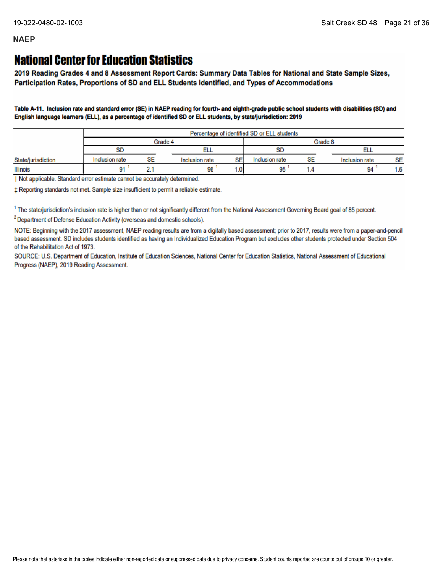# **National Center for Education Statistics**

2019 Reading Grades 4 and 8 Assessment Report Cards: Summary Data Tables for National and State Sample Sizes, Participation Rates, Proportions of SD and ELL Students Identified, and Types of Accommodations

Table A-11. Inclusion rate and standard error (SE) in NAEP reading for fourth- and eighth-grade public school students with disabilities (SD) and English language learners (ELL), as a percentage of identified SD or ELL students, by state/jurisdiction: 2019

|                    | Percentage of identified SD or ELL students |    |                |         |                 |    |                |           |
|--------------------|---------------------------------------------|----|----------------|---------|-----------------|----|----------------|-----------|
|                    | Grade 4                                     |    |                | Grade 8 |                 |    |                |           |
|                    | <b>SD</b>                                   |    |                |         | <b>OD</b><br>ວບ |    |                |           |
| State/jurisdiction | Inclusion rate                              | SE | Inclusion rate | SE      | Inclusion rate  | SE | Inclusion rate | <b>SE</b> |
| <b>Illinois</b>    | 91                                          |    | 96             | 0۱.،    | 95              |    | 94             | 1.6       |

† Not applicable. Standard error estimate cannot be accurately determined.

± Reporting standards not met. Sample size insufficient to permit a reliable estimate.

<sup>1</sup> The state/jurisdiction's inclusion rate is higher than or not significantly different from the National Assessment Governing Board goal of 85 percent.

<sup>2</sup> Department of Defense Education Activity (overseas and domestic schools).

NOTE: Beginning with the 2017 assessment, NAEP reading results are from a digitally based assessment; prior to 2017, results were from a paper-and-pencil based assessment. SD includes students identified as having an Individualized Education Program but excludes other students protected under Section 504 of the Rehabilitation Act of 1973.

SOURCE: U.S. Department of Education, Institute of Education Sciences, National Center for Education Statistics, National Assessment of Educational Progress (NAEP), 2019 Reading Assessment.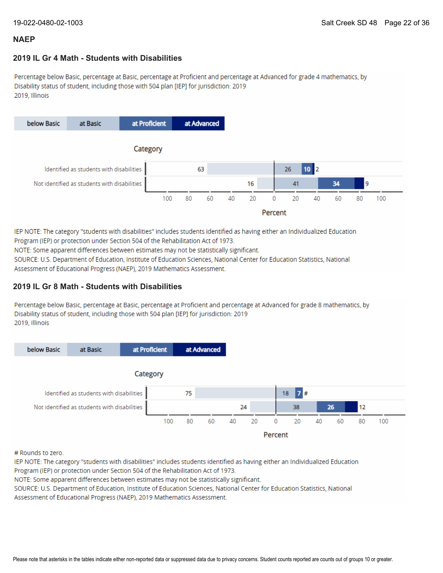#### **2019 IL Gr 4 Math - Students with Disabilities**

Percentage below Basic, percentage at Basic, percentage at Proficient and percentage at Advanced for grade 4 mathematics, by Disability status of student, including those with 504 plan [IEP] for jurisdiction: 2019 2019, Illinois



IEP NOTE: The category "students with disabilities" includes students identified as having either an Individualized Education Program (IEP) or protection under Section 504 of the Rehabilitation Act of 1973.

NOTE: Some apparent differences between estimates may not be statistically significant.

SOURCE: U.S. Department of Education, Institute of Education Sciences, National Center for Education Statistics, National Assessment of Educational Progress (NAEP), 2019 Mathematics Assessment.

#### **2019 IL Gr 8 Math - Students with Disabilities**

Percentage below Basic, percentage at Basic, percentage at Proficient and percentage at Advanced for grade 8 mathematics, by Disability status of student, including those with 504 plan [IEP] for jurisdiction: 2019 2019, Illinois



# Rounds to zero.

IEP NOTE: The category "students with disabilities" includes students identified as having either an Individualized Education Program (IEP) or protection under Section 504 of the Rehabilitation Act of 1973.

NOTE: Some apparent differences between estimates may not be statistically significant.

SOURCE: U.S. Department of Education, Institute of Education Sciences, National Center for Education Statistics, National Assessment of Educational Progress (NAEP), 2019 Mathematics Assessment.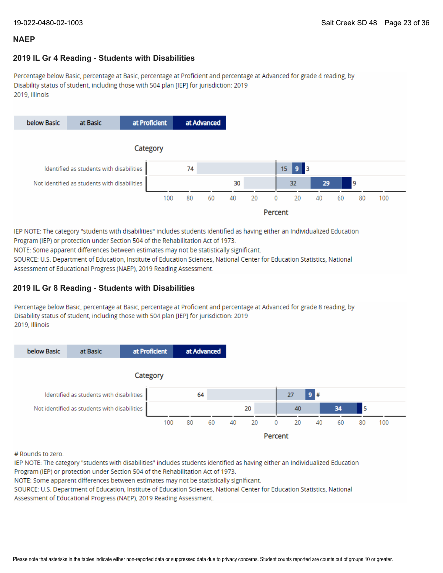#### **2019 IL Gr 4 Reading - Students with Disabilities**

Percentage below Basic, percentage at Basic, percentage at Proficient and percentage at Advanced for grade 4 reading, by Disability status of student, including those with 504 plan [IEP] for jurisdiction: 2019 2019, Illinois



IEP NOTE: The category "students with disabilities" includes students identified as having either an Individualized Education Program (IEP) or protection under Section 504 of the Rehabilitation Act of 1973.

NOTE: Some apparent differences between estimates may not be statistically significant.

SOURCE: U.S. Department of Education, Institute of Education Sciences, National Center for Education Statistics, National Assessment of Educational Progress (NAEP), 2019 Reading Assessment.

### **2019 IL Gr 8 Reading - Students with Disabilities**

Percentage below Basic, percentage at Basic, percentage at Proficient and percentage at Advanced for grade 8 reading, by Disability status of student, including those with 504 plan [IEP] for jurisdiction: 2019 2019. Illinois



# Rounds to zero.

IEP NOTE: The category "students with disabilities" includes students identified as having either an Individualized Education Program (IEP) or protection under Section 504 of the Rehabilitation Act of 1973.

NOTE: Some apparent differences between estimates may not be statistically significant.

SOURCE: U.S. Department of Education, Institute of Education Sciences, National Center for Education Statistics, National Assessment of Educational Progress (NAEP), 2019 Reading Assessment.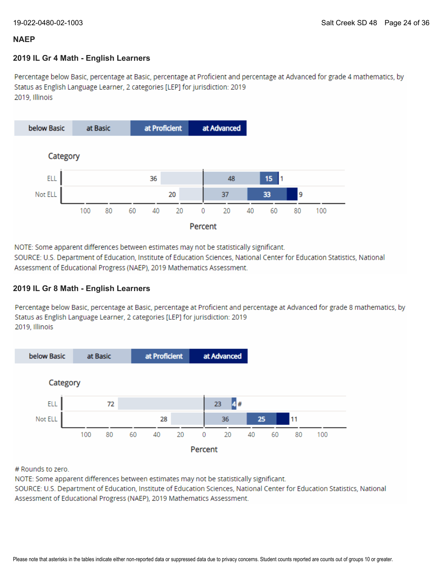#### **2019 IL Gr 4 Math - English Learners**

Percentage below Basic, percentage at Basic, percentage at Proficient and percentage at Advanced for grade 4 mathematics, by Status as English Language Learner, 2 categories [LEP] for jurisdiction: 2019 2019. Illinois



NOTE: Some apparent differences between estimates may not be statistically significant.

SOURCE: U.S. Department of Education, Institute of Education Sciences, National Center for Education Statistics, National Assessment of Educational Progress (NAEP), 2019 Mathematics Assessment.

### **2019 IL Gr 8 Math - English Learners**

Percentage below Basic, percentage at Basic, percentage at Proficient and percentage at Advanced for grade 8 mathematics, by Status as English Language Learner, 2 categories [LEP] for jurisdiction: 2019 2019. Illinois



# Rounds to zero.

NOTE: Some apparent differences between estimates may not be statistically significant.

SOURCE: U.S. Department of Education, Institute of Education Sciences, National Center for Education Statistics, National Assessment of Educational Progress (NAEP), 2019 Mathematics Assessment.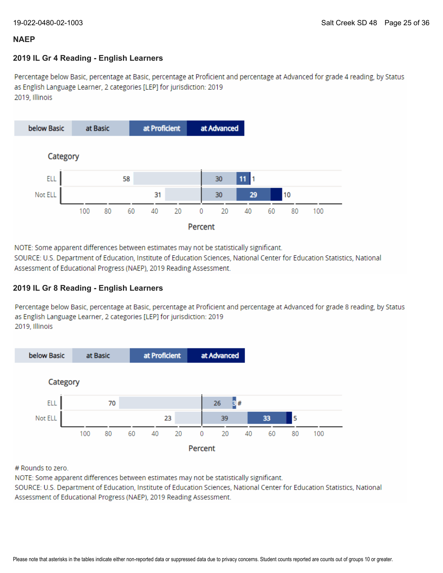### **2019 IL Gr 4 Reading - English Learners**

Percentage below Basic, percentage at Basic, percentage at Proficient and percentage at Advanced for grade 4 reading, by Status as English Language Learner, 2 categories [LEP] for jurisdiction: 2019 2019, Illinois



NOTE: Some apparent differences between estimates may not be statistically significant.

SOURCE: U.S. Department of Education, Institute of Education Sciences, National Center for Education Statistics, National Assessment of Educational Progress (NAEP), 2019 Reading Assessment.

### **2019 IL Gr 8 Reading - English Learners**

Percentage below Basic, percentage at Basic, percentage at Proficient and percentage at Advanced for grade 8 reading, by Status as English Language Learner, 2 categories [LEP] for jurisdiction: 2019 2019, Illinois



# Rounds to zero.

NOTE: Some apparent differences between estimates may not be statistically significant.

SOURCE: U.S. Department of Education, Institute of Education Sciences, National Center for Education Statistics, National Assessment of Educational Progress (NAEP), 2019 Reading Assessment.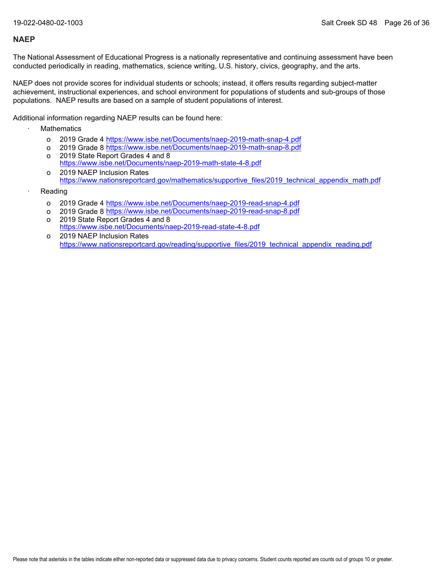The National Assessment of Educational Progress is a nationally representative and continuing assessment have been conducted periodically in reading, mathematics, science writing, U.S. history, civics, geography, and the arts.

NAEP does not provide scores for individual students or schools; instead, it offers results regarding subject-matter achievement, instructional experiences, and school environment for populations of students and sub-groups of those populations. NAEP results are based on a sample of student populations of interest.

Additional information regarding NAEP results can be found here:

- **Mathematics** 
	- o 2019 Grade 4 <u><https://www.isbe.net/Documents/naep-2019-math-snap-4.pdf></u>
	- o 2019 Grade 8 <u><https://www.isbe.net/Documents/naep-2019-math-snap-8.pdf></u>
	- o 2019 State Report Grades 4 and 8 <https://www.isbe.net/Documents/naep-2019-math-state-4-8.pdf>
	- o 2019 NAEP Inclusion Rates [https://www.nationsreportcard.gov/mathematics/supportive\\_files/2019\\_technical\\_appendix\\_math.pdf](https://www.nationsreportcard.gov/mathematics/supportive_files/2019_technical_appendix_math.pdf)
- **Reading** 
	- o 2019 Grade 4 <u><https://www.isbe.net/Documents/naep-2019-read-snap-4.pdf></u>
	- o 2019 Grade 8 <u><https://www.isbe.net/Documents/naep-2019-read-snap-8.pdf></u>
	- o 2019 State Report Grades 4 and 8 <https://www.isbe.net/Documents/naep-2019-read-state-4-8.pdf>
	- o 2019 NAEP Inclusion Rates [https://www.nationsreportcard.gov/reading/supportive\\_files/2019\\_technical\\_appendix\\_reading.pdf](https://www.nationsreportcard.gov/reading/supportive_files/2019_technical_appendix_reading.pdf)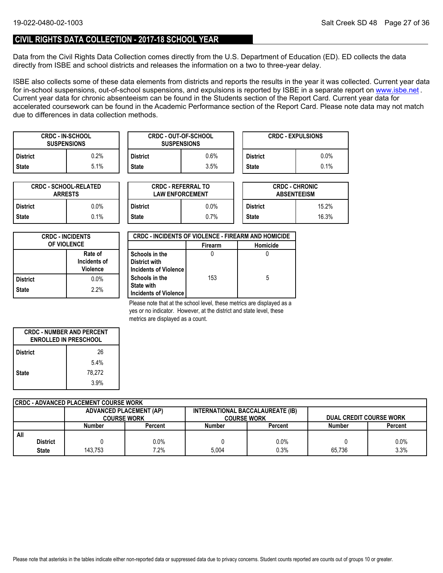### **CIVIL RIGHTS DATA COLLECTION - 2017-18 SCHOOL YEAR**

Data from the Civil Rights Data Collection comes directly from the U.S. Department of Education (ED). ED collects the data directly from ISBE and school districts and releases the information on a two to three-year delay.

ISBE also collects some of these data elements from districts and reports the results in the year it was collected. Current year data forin-school suspensions, out-of-school suspensions, and expulsions is reported by ISBE in a separate report on <u>www.isbe.net</u> . Current year data for chronic absenteeism can be found in the Students section of the Report Card. Current year data for accelerated coursework can be found in the Academic Performance section of the Report Card. Please note data may not match due to differences in data collection methods.

| <b>CRDC - IN-SCHOOL</b><br><b>SUSPENSIONS</b> |         |                 | <b>CRDC - OUT-OF-SCHOOL</b><br><b>SUSPENSIONS</b> |                 | <b>CRDC - EXPULSIONS</b> |
|-----------------------------------------------|---------|-----------------|---------------------------------------------------|-----------------|--------------------------|
| District                                      | $0.2\%$ | <b>District</b> | 0.6%                                              | <b>District</b> | $0.0\%$                  |
| State                                         | 5.1%    | <b>State</b>    | $3.5\%$                                           | <b>State</b>    | 0.1%                     |

| <b>CRDC - SCHOOL-RELATED</b><br><b>ARRESTS</b> |         |  |  |
|------------------------------------------------|---------|--|--|
| <b>District</b>                                | $0.0\%$ |  |  |
| <b>State</b>                                   | $0.1\%$ |  |  |

| TED     |                 | <b>CRDC - REFERRAL TO</b><br><b>LAW ENFORCEMENT</b> |                 | <b>CRDC - CHRONIC</b><br><b>ABSENTEEISM</b> |
|---------|-----------------|-----------------------------------------------------|-----------------|---------------------------------------------|
| 0.0%    | <b>District</b> | $0.0\%$                                             | <b>District</b> | 15.2%                                       |
| $0.1\%$ | <b>State</b>    | 0.7%                                                | <b>State</b>    | 16.3%                                       |

| <b>CRDC - INCIDENTS</b><br><b>OF VIOLENCE</b> |                                            |  |
|-----------------------------------------------|--------------------------------------------|--|
|                                               | Rate of<br>Incidents of<br><b>Violence</b> |  |
| <b>District</b>                               | $0.0\%$                                    |  |
| <b>State</b>                                  | 2.2%                                       |  |

| <b>CRDC - INCIDENTS OF VIOLENCE - FIREARM AND HOMICIDE</b> |                |          |  |  |  |
|------------------------------------------------------------|----------------|----------|--|--|--|
|                                                            | <b>Firearm</b> | Homicide |  |  |  |
| Schools in the                                             |                |          |  |  |  |
| District with                                              |                |          |  |  |  |
| Incidents of Violence                                      |                |          |  |  |  |
| Schools in the                                             | 153            | 5        |  |  |  |
| <b>State with</b>                                          |                |          |  |  |  |
| Incidents of Violence                                      |                |          |  |  |  |

Please note that at the school level, these metrics are displayed as a yes or no indicator. However, at the district and state level, these metrics are displayed as a count.

| <b>CRDC - NUMBER AND PERCENT</b><br><b>ENROLLED IN PRESCHOOL</b> |        |  |  |
|------------------------------------------------------------------|--------|--|--|
| <b>District</b>                                                  | 26     |  |  |
|                                                                  | 5.4%   |  |  |
| <b>State</b>                                                     | 78.272 |  |  |
|                                                                  | 3.9%   |  |  |

| CRDC - ADVANCED PLACEMENT COURSE WORK |                    |                                |                                  |                    |        |                                |  |  |  |
|---------------------------------------|--------------------|--------------------------------|----------------------------------|--------------------|--------|--------------------------------|--|--|--|
|                                       |                    | <b>ADVANCED PLACEMENT (AP)</b> | INTERNATIONAL BACCALAUREATE (IB) |                    |        |                                |  |  |  |
|                                       | <b>COURSE WORK</b> |                                |                                  | <b>COURSE WORK</b> |        | <b>DUAL CREDIT COURSE WORK</b> |  |  |  |
|                                       | Number             | Percent                        | <b>Number</b>                    | Percent            | Number | Percent                        |  |  |  |
| All                                   |                    |                                |                                  |                    |        |                                |  |  |  |
| <b>District</b>                       |                    | $0.0\%$                        |                                  | 0.0%               |        | 0.0%                           |  |  |  |
| <b>State</b>                          | 143.753            | 7.2%                           | 5.004                            | 0.3%               | 65.736 | 3.3%                           |  |  |  |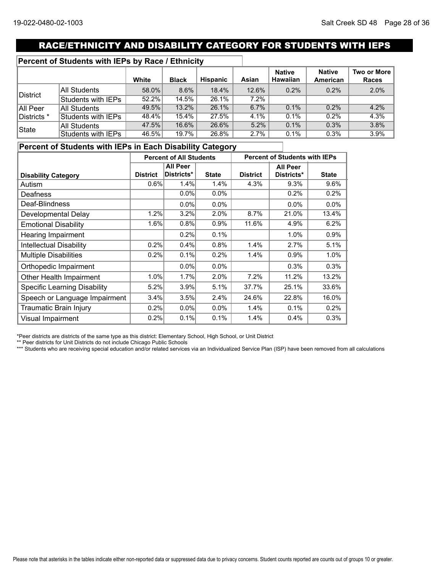# RACE/ETHNICITY AND DISABILITY CATEGORY FOR STUDENTS WITH IEPS

### **Percent of Students with IEPs by Race / Ethnicity**

|             |                     | White | <b>Black</b> | <b>Hispanic</b> | Asian   | <b>Native</b><br><b>Hawaiian</b> | <b>Native</b><br>American | <b>Two or More</b><br>Races |
|-------------|---------------------|-------|--------------|-----------------|---------|----------------------------------|---------------------------|-----------------------------|
|             | <b>All Students</b> | 58.0% | 8.6%         | 18.4%           | 12.6%   | 0.2%                             | $0.2\%$                   | 2.0%                        |
| District    | Students with IEPs  | 52.2% | 14.5%        | 26.1%           | $7.2\%$ |                                  |                           |                             |
| All Peer    | <b>All Students</b> | 49.5% | 13.2%        | 26.1%           | 6.7%    | 0.1%                             | 0.2%                      | 4.2%                        |
| Districts * | Students with IEPs  | 48.4% | 15.4%        | 27.5%           | 4.1%    | 0.1%                             | 0.2%                      | 4.3%                        |
| ∣State      | <b>All Students</b> | 47.5% | 16.6%        | 26.6%           | 5.2%    | 0.1%                             | 0.3%                      | 3.8%                        |
|             | Students with IEPs  | 46.5% | 19.7%        | 26.8%           | 2.7%    | 0.1%                             | 0.3%                      | 3.9%                        |

### **Percent of Students with IEPs in Each Disability Category**

|                                     | <b>Percent of All Students</b> |                 |              | <b>Percent of Students with IEPs</b> |                 |              |
|-------------------------------------|--------------------------------|-----------------|--------------|--------------------------------------|-----------------|--------------|
|                                     |                                | <b>All Peer</b> |              |                                      | <b>All Peer</b> |              |
| <b>Disability Category</b>          | <b>District</b>                | Districts*      | <b>State</b> | <b>District</b>                      | Districts*      | <b>State</b> |
| Autism                              | 0.6%                           | 1.4%            | 1.4%         | 4.3%                                 | 9.3%            | 9.6%         |
| Deafness                            |                                | $0.0\%$         | 0.0%         |                                      | 0.2%            | 0.2%         |
| Deaf-Blindness                      |                                | 0.0%            | 0.0%         |                                      | 0.0%            | 0.0%         |
| Developmental Delay                 | 1.2%                           | 3.2%            | 2.0%         | 8.7%                                 | 21.0%           | 13.4%        |
| <b>Emotional Disability</b>         | 1.6%                           | 0.8%            | 0.9%         | 11.6%                                | 4.9%            | 6.2%         |
| Hearing Impairment                  |                                | 0.2%            | 0.1%         |                                      | 1.0%            | 0.9%         |
| <b>Intellectual Disability</b>      | 0.2%                           | 0.4%            | 0.8%         | 1.4%                                 | 2.7%            | 5.1%         |
| <b>Multiple Disabilities</b>        | 0.2%                           | 0.1%            | 0.2%         | 1.4%                                 | 0.9%            | 1.0%         |
| Orthopedic Impairment               |                                | $0.0\%$         | $0.0\%$      |                                      | 0.3%            | 0.3%         |
| Other Health Impairment             | 1.0%                           | 1.7%            | 2.0%         | 7.2%                                 | 11.2%           | 13.2%        |
| <b>Specific Learning Disability</b> | 5.2%                           | 3.9%            | 5.1%         | 37.7%                                | 25.1%           | 33.6%        |
| Speech or Language Impairment       | 3.4%                           | 3.5%            | 2.4%         | 24.6%                                | 22.8%           | 16.0%        |
| Traumatic Brain Injury              | 0.2%                           | $0.0\%$         | 0.0%         | 1.4%                                 | 0.1%            | 0.2%         |
| <b>Visual Impairment</b>            | 0.2%                           | 0.1%            | 0.1%         | 1.4%                                 | 0.4%            | 0.3%         |

\*Peer districts are districts of the same type as this district: Elementary School, High School, or Unit District

\*\* Peer districts for Unit Districts do not include Chicago Public Schools

\*\*\* Students who are receiving special education and/or related services via an Individualized Service Plan (ISP) have been removed from all calculations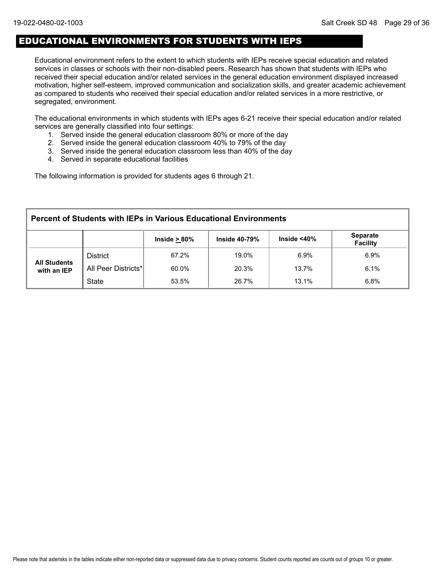## EDUCATIONAL ENVIRONMENTS FOR STUDENTS WITH IEPS

Educational environment refers to the extent to which students with IEPs receive special education and related services in classes or schools with their non-disabled peers. Research has shown that students with IEPs who received their special education and/or related services in the general education environment displayed increased motivation, higher self-esteem, improved communication and socialization skills, and greater academic achievement as compared to students who received their special education and/or related services in a more restrictive, or segregated, environment.

The educational environments in which students with IEPs ages 6-21 receive their special education and/or related services are generally classified into four settings:

- 1. Served inside the general education classroom 80% or more of the day
- 2. Served inside the general education classroom 40% to 79% of the day
- 3. Served inside the general education classroom less than 40% of the day
- 4. Served in separate educational facilities

The following information is provided for students ages 6 through 21.

| <b>Percent of Students with IEPs in Various Educational Environments</b>                            |                     |       |       |       |      |  |  |  |  |
|-----------------------------------------------------------------------------------------------------|---------------------|-------|-------|-------|------|--|--|--|--|
| <b>Separate</b><br>Inside $<$ 40 $\%$<br><b>Inside 40-79%</b><br>Inside $> 80\%$<br><b>Facility</b> |                     |       |       |       |      |  |  |  |  |
|                                                                                                     | <b>District</b>     | 67.2% | 19.0% | 6.9%  | 6.9% |  |  |  |  |
| <b>All Students</b><br>with an IEP                                                                  | All Peer Districts* | 60.0% | 20.3% | 13.7% | 6.1% |  |  |  |  |
|                                                                                                     | <b>State</b>        | 53.5% | 26.7% | 13.1% | 6.8% |  |  |  |  |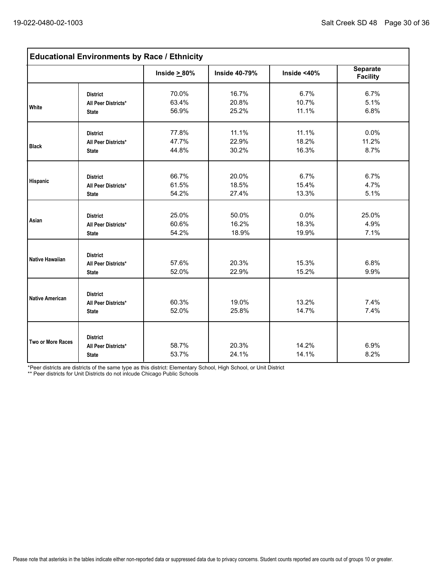| <b>Educational Environments by Race / Ethnicity</b> |                                                               |                         |                         |                         |                                    |  |  |  |
|-----------------------------------------------------|---------------------------------------------------------------|-------------------------|-------------------------|-------------------------|------------------------------------|--|--|--|
|                                                     |                                                               | Inside $\geq 80\%$      | <b>Inside 40-79%</b>    | Inside $<$ 40%          | <b>Separate</b><br><b>Facility</b> |  |  |  |
| <b>White</b>                                        | <b>District</b><br>All Peer Districts*<br><b>State</b>        | 70.0%<br>63.4%<br>56.9% | 16.7%<br>20.8%<br>25.2% | 6.7%<br>10.7%<br>11.1%  | 6.7%<br>5.1%<br>6.8%               |  |  |  |
| <b>Black</b>                                        | <b>District</b><br>All Peer Districts*<br><b>State</b>        | 77.8%<br>47.7%<br>44.8% | 11.1%<br>22.9%<br>30.2% | 11.1%<br>18.2%<br>16.3% | 0.0%<br>11.2%<br>8.7%              |  |  |  |
| Hispanic                                            | <b>District</b><br>All Peer Districts*<br><b>State</b>        | 66.7%<br>61.5%<br>54.2% | 20.0%<br>18.5%<br>27.4% | 6.7%<br>15.4%<br>13.3%  | 6.7%<br>4.7%<br>5.1%               |  |  |  |
| Asian                                               | <b>District</b><br>All Peer Districts*<br><b>State</b>        | 25.0%<br>60.6%<br>54.2% | 50.0%<br>16.2%<br>18.9% | 0.0%<br>18.3%<br>19.9%  | 25.0%<br>4.9%<br>7.1%              |  |  |  |
| Native Hawaiian                                     | <b>District</b><br><b>All Peer Districts*</b><br><b>State</b> | 57.6%<br>52.0%          | 20.3%<br>22.9%          | 15.3%<br>15.2%          | 6.8%<br>9.9%                       |  |  |  |
| Native American                                     | <b>District</b><br>All Peer Districts*<br><b>State</b>        | 60.3%<br>52.0%          | 19.0%<br>25.8%          | 13.2%<br>14.7%          | 7.4%<br>7.4%                       |  |  |  |
| Two or More Races                                   | <b>District</b><br>All Peer Districts*<br><b>State</b>        | 58.7%<br>53.7%          | 20.3%<br>24.1%          | 14.2%<br>14.1%          | 6.9%<br>8.2%                       |  |  |  |

\*Peer districts are districts of the same type as this district: Elementary School, High School, or Unit District

\*\* Peer districts for Unit Districts do not inlcude Chicago Public Schools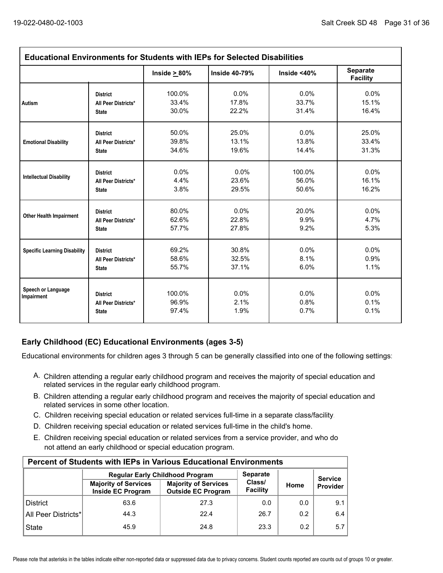| <b>Educational Environments for Students with IEPs for Selected Disabilities</b> |                                                        |                          |                      |                      |                                    |  |  |
|----------------------------------------------------------------------------------|--------------------------------------------------------|--------------------------|----------------------|----------------------|------------------------------------|--|--|
|                                                                                  |                                                        | Inside $\geq 80\%$       | <b>Inside 40-79%</b> | Inside $<$ 40%       | <b>Separate</b><br><b>Facility</b> |  |  |
| Autism                                                                           | <b>District</b>                                        | 100.0%                   | 0.0%                 | 0.0%                 | 0.0%                               |  |  |
|                                                                                  | All Peer Districts*                                    | 33.4%                    | 17.8%                | 33.7%                | 15.1%                              |  |  |
|                                                                                  | <b>State</b>                                           | 30.0%                    | 22.2%                | 31.4%                | 16.4%                              |  |  |
| <b>Emotional Disability</b>                                                      | <b>District</b>                                        | 50.0%                    | 25.0%                | 0.0%                 | 25.0%                              |  |  |
|                                                                                  | All Peer Districts*                                    | 39.8%                    | 13.1%                | 13.8%                | 33.4%                              |  |  |
|                                                                                  | <b>State</b>                                           | 34.6%                    | 19.6%                | 14.4%                | 31.3%                              |  |  |
| <b>Intellectual Disability</b>                                                   | <b>District</b>                                        | 0.0%                     | $0.0\%$              | 100.0%               | $0.0\%$                            |  |  |
|                                                                                  | All Peer Districts*                                    | 4.4%                     | 23.6%                | 56.0%                | 16.1%                              |  |  |
|                                                                                  | <b>State</b>                                           | 3.8%                     | 29.5%                | 50.6%                | 16.2%                              |  |  |
| <b>Other Health Impairment</b>                                                   | <b>District</b>                                        | 80.0%                    | 0.0%                 | 20.0%                | 0.0%                               |  |  |
|                                                                                  | All Peer Districts*                                    | 62.6%                    | 22.8%                | 9.9%                 | 4.7%                               |  |  |
|                                                                                  | <b>State</b>                                           | 57.7%                    | 27.8%                | 9.2%                 | 5.3%                               |  |  |
| <b>Specific Learning Disability</b>                                              | <b>District</b>                                        | 69.2%                    | 30.8%                | 0.0%                 | $0.0\%$                            |  |  |
|                                                                                  | All Peer Districts*                                    | 58.6%                    | 32.5%                | 8.1%                 | 0.9%                               |  |  |
|                                                                                  | <b>State</b>                                           | 55.7%                    | 37.1%                | 6.0%                 | 1.1%                               |  |  |
| Speech or Language<br>Impairment                                                 | <b>District</b><br>All Peer Districts*<br><b>State</b> | 100.0%<br>96.9%<br>97.4% | 0.0%<br>2.1%<br>1.9% | 0.0%<br>0.8%<br>0.7% | $0.0\%$<br>0.1%<br>0.1%            |  |  |

### **Early Childhood (EC) Educational Environments (ages 3-5)**

Educational environments for children ages 3 through 5 can be generally classified into one of the following settings:

- A. Children attending a regular early childhood program and receives the majority of special education and related services in the regular early childhood program.
- B. Children attending a regular early childhood program and receives the majority of special education and related services in some other location.
- C. Children receiving special education or related services full-time in a separate class/facility.
- D. Children receiving special education or related services full-time in the child's home.
- E. Children receiving special education or related services from a service provider, and who do not attend an early childhood or special education program.

| <b>Percent of Students with IEPs in Various Educational Environments</b> |                                                  |                                                          |                    |      |                            |  |  |  |  |  |
|--------------------------------------------------------------------------|--------------------------------------------------|----------------------------------------------------------|--------------------|------|----------------------------|--|--|--|--|--|
| <b>Separate</b><br><b>Regular Early Childhood Program</b>                |                                                  |                                                          |                    |      |                            |  |  |  |  |  |
|                                                                          | <b>Majority of Services</b><br>Inside EC Program | <b>Majority of Services</b><br><b>Outside EC Program</b> | Class/<br>Facility | Home | <b>Service</b><br>Provider |  |  |  |  |  |
| <b>District</b>                                                          | 63.6                                             | 27.3                                                     | 0.0                | 0.0  | 9.1                        |  |  |  |  |  |
| All Peer Districts*                                                      | 44.3                                             | 22.4                                                     | 26.7               | 0.2  | 6.4                        |  |  |  |  |  |
| <b>State</b>                                                             | 45.9                                             | 24.8                                                     | 23.3               | 0.2  | 5.7                        |  |  |  |  |  |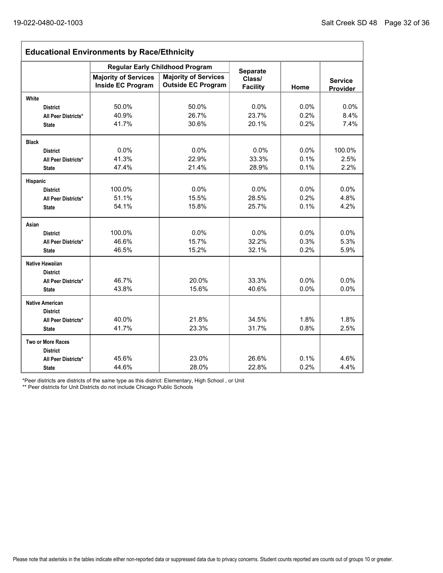ľ

| <b>Educational Environments by Race/Ethnicity</b> |                             |                                                                       |                           |                |          |  |  |  |
|---------------------------------------------------|-----------------------------|-----------------------------------------------------------------------|---------------------------|----------------|----------|--|--|--|
|                                                   | <b>Majority of Services</b> | <b>Regular Early Childhood Program</b><br><b>Majority of Services</b> | <b>Separate</b><br>Class/ | <b>Service</b> |          |  |  |  |
|                                                   | <b>Inside EC Program</b>    | <b>Outside EC Program</b>                                             | <b>Facility</b>           | Home           | Provider |  |  |  |
| White                                             |                             |                                                                       |                           |                |          |  |  |  |
| <b>District</b>                                   | 50.0%                       | 50.0%                                                                 | 0.0%                      | 0.0%           | 0.0%     |  |  |  |
| All Peer Districts*                               | 40.9%                       | 26.7%                                                                 | 23.7%                     | 0.2%           | 8.4%     |  |  |  |
| <b>State</b>                                      | 41.7%                       | 30.6%                                                                 | 20.1%                     | 0.2%           | 7.4%     |  |  |  |
| <b>Black</b>                                      |                             |                                                                       |                           |                |          |  |  |  |
| <b>District</b>                                   | 0.0%                        | 0.0%                                                                  | 0.0%                      | 0.0%           | 100.0%   |  |  |  |
| All Peer Districts*                               | 41.3%                       | 22.9%                                                                 | 33.3%                     | 0.1%           | 2.5%     |  |  |  |
| <b>State</b>                                      | 47.4%                       | 21.4%                                                                 | 28.9%                     | 0.1%           | 2.2%     |  |  |  |
| Hispanic                                          |                             |                                                                       |                           |                |          |  |  |  |
| <b>District</b>                                   | 100.0%                      | 0.0%                                                                  | 0.0%                      | $0.0\%$        | 0.0%     |  |  |  |
| All Peer Districts*                               | 51.1%                       | 15.5%                                                                 | 28.5%                     | 0.2%           | 4.8%     |  |  |  |
| <b>State</b>                                      | 54.1%                       | 15.8%                                                                 | 25.7%                     | 0.1%           | 4.2%     |  |  |  |
| Asian                                             |                             |                                                                       |                           |                |          |  |  |  |
| <b>District</b>                                   | 100.0%                      | 0.0%                                                                  | 0.0%                      | 0.0%           | 0.0%     |  |  |  |
| All Peer Districts*                               | 46.6%                       | 15.7%                                                                 | 32.2%                     | 0.3%           | 5.3%     |  |  |  |
| <b>State</b>                                      | 46.5%                       | 15.2%                                                                 | 32.1%                     | 0.2%           | 5.9%     |  |  |  |
| <b>Native Hawaiian</b><br><b>District</b>         |                             |                                                                       |                           |                |          |  |  |  |
| All Peer Districts*                               | 46.7%                       | 20.0%                                                                 | 33.3%                     | 0.0%           | 0.0%     |  |  |  |
| <b>State</b>                                      | 43.8%                       | 15.6%                                                                 | 40.6%                     | 0.0%           | 0.0%     |  |  |  |
| <b>Native American</b>                            |                             |                                                                       |                           |                |          |  |  |  |
| <b>District</b>                                   |                             |                                                                       |                           |                |          |  |  |  |
| All Peer Districts*                               | 40.0%<br>41.7%              | 21.8%                                                                 | 34.5%<br>31.7%            | 1.8%           | 1.8%     |  |  |  |
| <b>State</b>                                      |                             | 23.3%                                                                 |                           | 0.8%           | 2.5%     |  |  |  |
| Two or More Races                                 |                             |                                                                       |                           |                |          |  |  |  |
| <b>District</b>                                   | 45.6%                       | 23.0%                                                                 | 26.6%                     | 0.1%           | 4.6%     |  |  |  |
| All Peer Districts*                               | 44.6%                       | 28.0%                                                                 | 22.8%                     | 0.2%           | 4.4%     |  |  |  |
| <b>State</b>                                      |                             |                                                                       |                           |                |          |  |  |  |

\*Peer districts are districts of the same type as this district: Elementary, High School , or Unit

\*\* Peer districts for Unit Districts do not include Chicago Public Schools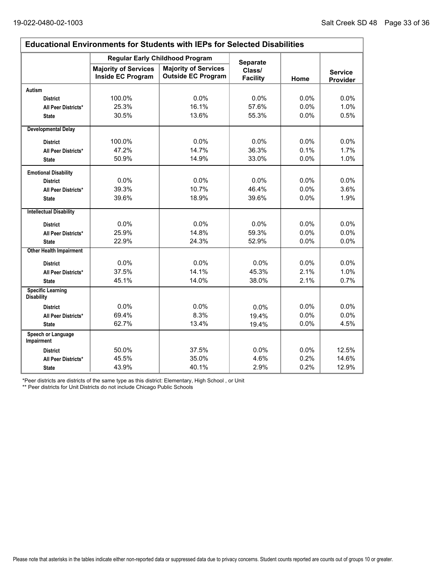Ē.

| <b>Educational Environments for Students with IEPs for Selected Disabilities</b> |                                                         |                                                          |                           |         |                            |  |  |  |
|----------------------------------------------------------------------------------|---------------------------------------------------------|----------------------------------------------------------|---------------------------|---------|----------------------------|--|--|--|
|                                                                                  |                                                         | <b>Regular Early Childhood Program</b>                   | <b>Separate</b>           |         |                            |  |  |  |
|                                                                                  | <b>Majority of Services</b><br><b>Inside EC Program</b> | <b>Majority of Services</b><br><b>Outside EC Program</b> | Class/<br><b>Facility</b> | Home    | <b>Service</b><br>Provider |  |  |  |
| <b>Autism</b>                                                                    |                                                         |                                                          |                           |         |                            |  |  |  |
| <b>District</b>                                                                  | 100.0%                                                  | 0.0%                                                     | 0.0%                      | 0.0%    | 0.0%                       |  |  |  |
| All Peer Districts*                                                              | 25.3%                                                   | 16.1%                                                    | 57.6%                     | 0.0%    | 1.0%                       |  |  |  |
| <b>State</b>                                                                     | 30.5%                                                   | 13.6%                                                    | 55.3%                     | 0.0%    | 0.5%                       |  |  |  |
| <b>Developmental Delay</b>                                                       |                                                         |                                                          |                           |         |                            |  |  |  |
| <b>District</b>                                                                  | 100.0%                                                  | $0.0\%$                                                  | $0.0\%$                   | $0.0\%$ | $0.0\%$                    |  |  |  |
| All Peer Districts*                                                              | 47.2%                                                   | 14.7%                                                    | 36.3%                     | 0.1%    | 1.7%                       |  |  |  |
| <b>State</b>                                                                     | 50.9%                                                   | 14.9%                                                    | 33.0%                     | 0.0%    | 1.0%                       |  |  |  |
| <b>Emotional Disability</b>                                                      |                                                         |                                                          |                           |         |                            |  |  |  |
| <b>District</b>                                                                  | 0.0%                                                    | 0.0%                                                     | 0.0%                      | $0.0\%$ | $0.0\%$                    |  |  |  |
| All Peer Districts*                                                              | 39.3%                                                   | 10.7%                                                    | 46.4%                     | 0.0%    | 3.6%                       |  |  |  |
| <b>State</b>                                                                     | 39.6%                                                   | 18.9%                                                    | 39.6%                     | 0.0%    | 1.9%                       |  |  |  |
| <b>Intellectual Disability</b>                                                   |                                                         |                                                          |                           |         |                            |  |  |  |
| <b>District</b>                                                                  | 0.0%                                                    | 0.0%                                                     | 0.0%                      | 0.0%    | 0.0%                       |  |  |  |
| All Peer Districts*                                                              | 25.9%                                                   | 14.8%                                                    | 59.3%                     | 0.0%    | 0.0%                       |  |  |  |
| <b>State</b>                                                                     | 22.9%                                                   | 24.3%                                                    | 52.9%                     | 0.0%    | 0.0%                       |  |  |  |
| <b>Other Health Impairment</b>                                                   |                                                         |                                                          |                           |         |                            |  |  |  |
| <b>District</b>                                                                  | 0.0%                                                    | 0.0%                                                     | 0.0%                      | 0.0%    | 0.0%                       |  |  |  |
| All Peer Districts*                                                              | 37.5%                                                   | 14.1%                                                    | 45.3%                     | 2.1%    | 1.0%                       |  |  |  |
| <b>State</b>                                                                     | 45.1%                                                   | 14.0%                                                    | 38.0%                     | 2.1%    | 0.7%                       |  |  |  |
| <b>Specific Learning</b><br><b>Disability</b>                                    |                                                         |                                                          |                           |         |                            |  |  |  |
| <b>District</b>                                                                  | 0.0%                                                    | 0.0%                                                     | 0.0%                      | 0.0%    | 0.0%                       |  |  |  |
| All Peer Districts*                                                              | 69.4%                                                   | 8.3%                                                     | 19.4%                     | 0.0%    | 0.0%                       |  |  |  |
| <b>State</b>                                                                     | 62.7%                                                   | 13.4%                                                    | 19.4%                     | 0.0%    | 4.5%                       |  |  |  |
| Speech or Language<br><b>Impairment</b>                                          |                                                         |                                                          |                           |         |                            |  |  |  |
| <b>District</b>                                                                  | 50.0%                                                   | 37.5%                                                    | 0.0%                      | 0.0%    | 12.5%                      |  |  |  |
| All Peer Districts*                                                              | 45.5%                                                   | 35.0%                                                    | 4.6%                      | 0.2%    | 14.6%                      |  |  |  |
| <b>State</b>                                                                     | 43.9%                                                   | 40.1%                                                    | 2.9%                      | 0.2%    | 12.9%                      |  |  |  |

\*Peer districts are districts of the same type as this district: Elementary, High School , or Unit

\*\* Peer districts for Unit Districts do not include Chicago Public Schools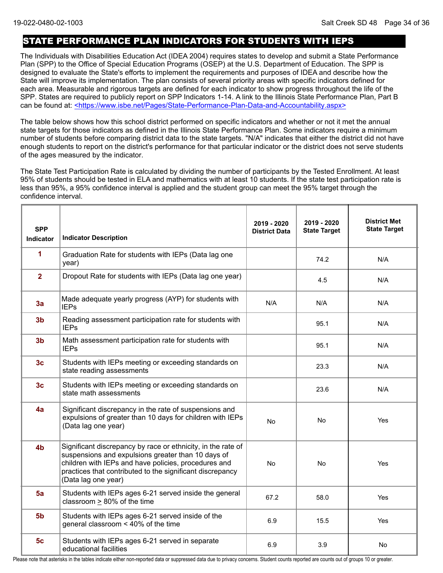### STATE PERFORMANCE PLAN INDICATORS FOR STUDENTS WITH IEPS

The Individuals with Disabilities Education Act (IDEA 2004) requires states to develop and submit a State Performance Plan (SPP) to the Office of Special Education Programs (OSEP) at the U.S. Department of Education. The SPP is designed to evaluate the State's efforts to implement the requirements and purposes of IDEA and describe how the State will improve its implementation. The plan consists of several priority areas with specific indicators defined for each area. Measurable and rigorous targets are defined for each indicator to show progress throughout the life of the SPP. States are required to publicly report on SPP Indicators 1-14. A link to the Illinois State Performance Plan, Part B can be found at: <https://www.isbe.net/Pages/State-Performance-Plan-Data-and-Accountability.aspx>

The table below shows how this school district performed on specific indicators and whether or not it met the annual state targets for those indicators as defined in the Illinois State Performance Plan. Some indicators require a minimum number of students before comparing district data to the state targets. "N/A" indicates that either the district did not have enough students to report on the district's performance for that particular indicator or the district does not serve students of the ages measured by the indicator.

The State Test Participation Rate is calculated by dividing the number of participants by the Tested Enrollment. At least 95% of students should be tested in ELA and mathematics with at least 10 students. If the state test participation rate is less than 95%, a 95% confidence interval is applied and the student group can meet the 95% target through the confidence interval.

| <b>SPP</b><br><b>Indicator</b> | <b>Indicator Description</b>                                                                                                                                                                                                                                   | 2019 - 2020<br><b>District Data</b> | 2019 - 2020<br><b>State Target</b> | <b>District Met</b><br><b>State Target</b> |
|--------------------------------|----------------------------------------------------------------------------------------------------------------------------------------------------------------------------------------------------------------------------------------------------------------|-------------------------------------|------------------------------------|--------------------------------------------|
| 1                              | Graduation Rate for students with IEPs (Data lag one<br>year)                                                                                                                                                                                                  |                                     | 74.2                               | N/A                                        |
| $\overline{2}$                 | Dropout Rate for students with IEPs (Data lag one year)                                                                                                                                                                                                        |                                     | 4.5                                | N/A                                        |
| 3a                             | Made adequate yearly progress (AYP) for students with<br><b>IEPs</b>                                                                                                                                                                                           | N/A                                 | N/A                                | N/A                                        |
| 3 <sub>b</sub>                 | Reading assessment participation rate for students with<br><b>IEPs</b>                                                                                                                                                                                         |                                     | 95.1                               | N/A                                        |
| 3 <sub>b</sub>                 | Math assessment participation rate for students with<br><b>IEPs</b>                                                                                                                                                                                            |                                     | 95.1                               | N/A                                        |
| 3 <sub>c</sub>                 | Students with IEPs meeting or exceeding standards on<br>state reading assessments                                                                                                                                                                              |                                     | 23.3                               | N/A                                        |
| 3 <sub>c</sub>                 | Students with IEPs meeting or exceeding standards on<br>state math assessments                                                                                                                                                                                 |                                     | 23.6                               | N/A                                        |
| 4a                             | Significant discrepancy in the rate of suspensions and<br>expulsions of greater than 10 days for children with IEPs<br>(Data lag one year)                                                                                                                     | <b>No</b>                           | No.                                | Yes                                        |
| 4 <sub>b</sub>                 | Significant discrepancy by race or ethnicity, in the rate of<br>suspensions and expulsions greater than 10 days of<br>children with IEPs and have policies, procedures and<br>practices that contributed to the significant discrepancy<br>(Data lag one year) | <b>No</b>                           | <b>No</b>                          | Yes                                        |
| 5a                             | Students with IEPs ages 6-21 served inside the general<br>classroom > 80% of the time                                                                                                                                                                          | 67.2                                | 58.0                               | Yes                                        |
| 5 <sub>b</sub>                 | Students with IEPs ages 6-21 served inside of the<br>general classroom < 40% of the time                                                                                                                                                                       | 6.9                                 | 15.5                               | Yes                                        |
| 5 <sub>c</sub>                 | Students with IEPs ages 6-21 served in separate<br>educational facilities                                                                                                                                                                                      | 6.9                                 | 3.9                                | No                                         |

Please note that asterisks in the tables indicate either non-reported data or suppressed data due to privacy concerns. Student counts reported are counts out of groups 10 or greater.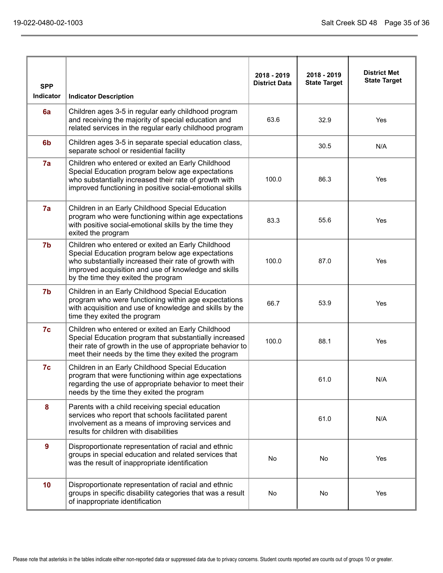| <b>SPP</b>       |                                                                                                                                                                                                                                                               | 2018 - 2019<br><b>District Data</b> | 2018 - 2019<br><b>State Target</b> | <b>District Met</b><br><b>State Target</b> |
|------------------|---------------------------------------------------------------------------------------------------------------------------------------------------------------------------------------------------------------------------------------------------------------|-------------------------------------|------------------------------------|--------------------------------------------|
| <b>Indicator</b> | <b>Indicator Description</b>                                                                                                                                                                                                                                  |                                     |                                    |                                            |
| 6a               | Children ages 3-5 in regular early childhood program<br>and receiving the majority of special education and<br>related services in the regular early childhood program                                                                                        | 63.6                                | 32.9                               | Yes                                        |
| 6 <sub>b</sub>   | Children ages 3-5 in separate special education class,<br>separate school or residential facility                                                                                                                                                             |                                     | 30.5                               | N/A                                        |
| 7a               | Children who entered or exited an Early Childhood<br>Special Education program below age expectations<br>who substantially increased their rate of growth with<br>improved functioning in positive social-emotional skills                                    | 100.0                               | 86.3                               | Yes                                        |
| 7a               | Children in an Early Childhood Special Education<br>program who were functioning within age expectations<br>with positive social-emotional skills by the time they<br>exited the program                                                                      | 83.3                                | 55.6                               | Yes                                        |
| 7b               | Children who entered or exited an Early Childhood<br>Special Education program below age expectations<br>who substantially increased their rate of growth with<br>improved acquisition and use of knowledge and skills<br>by the time they exited the program | 100.0                               | 87.0                               | Yes                                        |
| 7b               | Children in an Early Childhood Special Education<br>program who were functioning within age expectations<br>with acquisition and use of knowledge and skills by the<br>time they exited the program                                                           | 66.7                                | 53.9                               | Yes                                        |
| 7c               | Children who entered or exited an Early Childhood<br>Special Education program that substantially increased<br>their rate of growth in the use of appropriate behavior to<br>meet their needs by the time they exited the program                             | 100.0                               | 88.1                               | Yes                                        |
| 7c               | Children in an Early Childhood Special Education<br>program that were functioning within age expectations<br>regarding the use of appropriate behavior to meet their<br>needs by the time they exited the program                                             |                                     | 61.0                               | N/A                                        |
| 8                | Parents with a child receiving special education<br>services who report that schools facilitated parent<br>involvement as a means of improving services and<br>results for children with disabilities                                                         |                                     | 61.0                               | N/A                                        |
| $9^{\circ}$      | Disproportionate representation of racial and ethnic<br>groups in special education and related services that<br>was the result of inappropriate identification                                                                                               | No                                  | No                                 | Yes                                        |
| 10               | Disproportionate representation of racial and ethnic<br>groups in specific disability categories that was a result<br>of inappropriate identification                                                                                                         | No                                  | No                                 | Yes                                        |